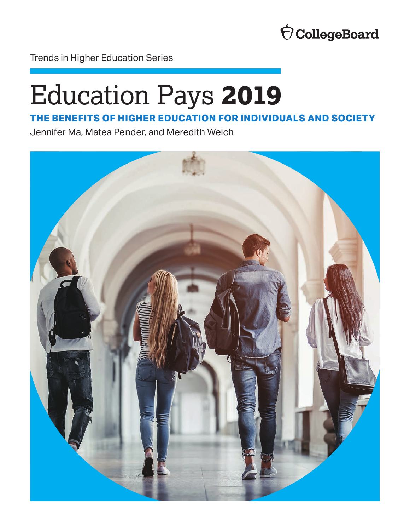

Trends in Higher Education Series

# Education Pays **2019**

### **THE BENEFITS OF HIGHER EDUCATION FOR INDIVIDUALS AND SOCIETY**

Jennifer Ma, Matea Pender, and Meredith Welch

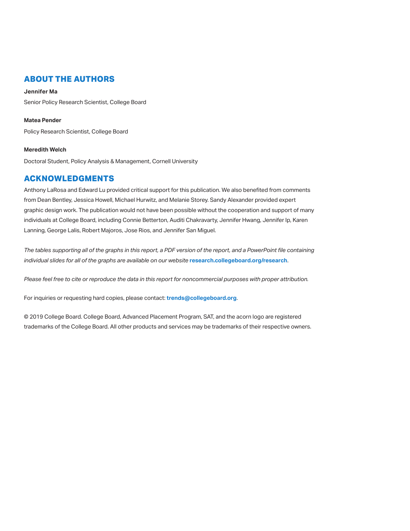### **ABOUT THE AUTHORS**

### **Jennifer Ma**

Senior Policy Research Scientist, College Board

### **Matea Pender**

Policy Research Scientist, College Board

### **Meredith Welch**

Doctoral Student, Policy Analysis & Management, Cornell University

### **ACKNOWLEDGMENTS**

Anthony LaRosa and Edward Lu provided critical support for this publication. We also benefited from comments from Dean Bentley, Jessica Howell, Michael Hurwitz, and Melanie Storey. Sandy Alexander provided expert graphic design work. The publication would not have been possible without the cooperation and support of many individuals at College Board, including Connie Betterton, Auditi Chakravarty, Jennifer Hwang, Jennifer Ip, Karen Lanning, George Lalis, Robert Majoros, Jose Rios, and Jennifer San Miguel.

*The tables supporting all of the graphs in this report, a PDF version of the report, and a PowerPoint file containing individual slides for all of the graphs are available on our website* **[research.collegeboard.org/research](http://research.collegeboard.org/research)**.

*Please feel free to cite or reproduce the data in this report for noncommercial purposes with proper attribution.* 

For inquiries or requesting hard copies, please contact: **[trends@collegeboard.org](mailto:trends@collegeboard.org)**.

© 2019 College Board. College Board, Advanced Placement Program, SAT, and the acorn logo are registered trademarks of the College Board. All other products and services may be trademarks of their respective owners.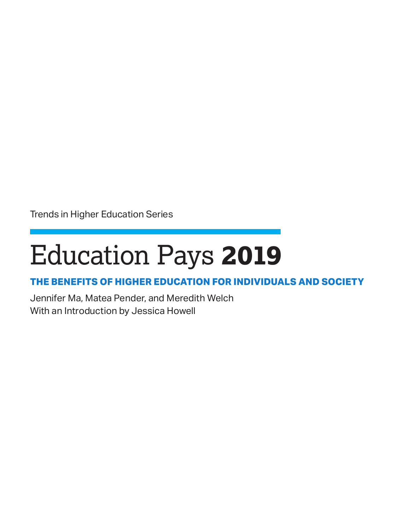Trends in Higher Education Series

# Education Pays **2019**

### **THE BENEFITS OF HIGHER EDUCATION FOR INDIVIDUALS AND SOCIETY**

Jennifer Ma, Matea Pender, and Meredith Welch With an Introduction by Jessica Howell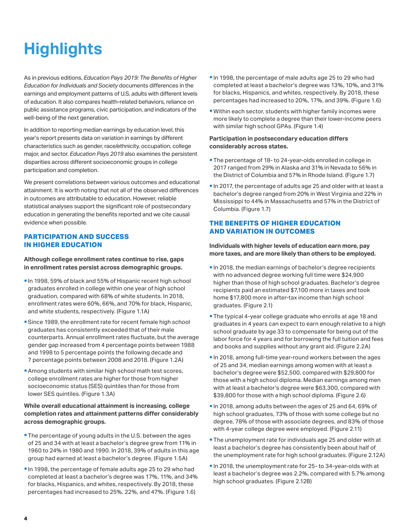# <span id="page-3-0"></span>**Highlights**

As in previous editions, *Education Pays 2019: The Benefits of Higher Education for Individuals and Society* documents differences in the earnings and employment patterns of U.S. adults with different levels of education. It also compares health-related behaviors, reliance on public assistance programs, civic participation, and indicators of the well-being of the next generation.

In addition to reporting median earnings by education level, this year's report presents data on variation in earnings by different characteristics such as gender, race/ethnicity, occupation, college major, and sector. *Education Pays 2019* also examines the persistent disparities across different socioeconomic groups in college participation and completion.

We present correlations between various outcomes and educational attainment. It is worth noting that not all of the observed differences in outcomes are attributable to education. However, reliable statistical analyses support the significant role of postsecondary education in generating the benefits reported and we cite causal evidence when possible.

### **PARTICIPATION AND SUCCESS IN HIGHER EDUCATION**

**Although college enrollment rates continue to rise, gaps in enrollment rates persist across demographic groups.** 

- In 1998, 59% of black and 55% of Hispanic recent high school graduates enrolled in college within one year of high school graduation, compared with 68% of white students. In 2018, enrollment rates were 60%, 66%, and 70% for black, Hispanic, and white students, respectively. (Figure 1.1A)
- **Since 1989, the enrollment rate for recent female high school** graduates has consistently exceeded that of their male counterparts. Annual enrollment rates fluctuate, but the average gender gap increased from 4 percentage points between 1988 and 1998 to 5 percentage points the following decade and 7 percentage points between 2008 and 2018. (Figure 1.2A)
- Among students with similar high school math test scores, college enrollment rates are higher for those from higher socioeconomic status (SES) quintiles than for those from lower SES quintiles. (Figure 1.3A)

### **While overall educational attainment is increasing, college completion rates and attainment patterns differ considerably across demographic groups.**

- **The percentage of young adults in the U.S. between the ages** of 25 and 34 with at least a bachelor's degree grew from 11% in 1960 to 24% in 1980 and 1990. In 2018, 39% of adults in this age group had earned at least a bachelor's degree. (Figure 1.5A)
- In 1998, the percentage of female adults age 25 to 29 who had completed at least a bachelor's degree was 17%, 11%, and 34% for blacks, Hispanics, and whites, respectively. By 2018, these percentages had increased to 25%, 22%, and 47%. (Figure 1.6)
- In 1998, the percentage of male adults age 25 to 29 who had completed at least a bachelor's degree was 13%, 10%, and 31% for blacks, Hispanics, and whites, respectively. By 2018, these percentages had increased to 20%, 17%, and 39%. (Figure 1.6)
- Within each sector, students with higher family incomes were more likely to complete a degree than their lower-income peers with similar high school GPAs. (Figure 1.4)

### **Participation in postsecondary education differs considerably across states.**

- **The percentage of 18- to 24-year-olds enrolled in college in** 2017 ranged from 29% in Alaska and 31% in Nevada to 56% in the District of Columbia and 57% in Rhode Island. (Figure 1.7)
- In 2017, the percentage of adults age 25 and older with at least a bachelor's degree ranged from 20% in West Virginia and 22% in Mississippi to 44% in Massachusetts and 57% in the District of Columbia. (Figure 1.7)

### **THE BENEFITS OF HIGHER EDUCATION AND VARIATION IN OUTCOMES**

**Individuals with higher levels of education earn more, pay more taxes, and are more likely than others to be employed.** 

- **In 2018, the median earnings of bachelor's degree recipients** with no advanced degree working full time were \$24,900 higher than those of high school graduates. Bachelor's degree recipients paid an estimated \$7,100 more in taxes and took home \$17,800 more in after-tax income than high school graduates. (Figure 2.1)
- **The typical 4-year college graduate who enrolls at age 18 and** graduates in 4 years can expect to earn enough relative to a high school graduate by age 33 to compensate for being out of the labor force for 4 years and for borrowing the full tuition and fees and books and supplies without any grant aid. (Figure 2.2A)
- In 2018, among full-time year-round workers between the ages of 25 and 34, median earnings among women with at least a bachelor's degree were \$52,500, compared with \$29,800 for those with a high school diploma. Median earnings among men with at least a bachelor's degree were \$63,300, compared with \$39,800 for those with a high school diploma. (Figure 2.6)
- In 2018, among adults between the ages of 25 and 64, 69% of high school graduates, 73% of those with some college but no degree, 78% of those with associate degrees, and 83% of those with 4-year college degree were employed. (Figure 2.11)
- **The unemployment rate for individuals age 25 and older with at** least a bachelor's degree has consistently been about half of the unemployment rate for high school graduates. (Figure 2.12A)
- In 2018, the unemployment rate for 25- to 34-year-olds with at least a bachelor's degree was 2.2%, compared with 5.7% among high school graduates. (Figure 2.12B)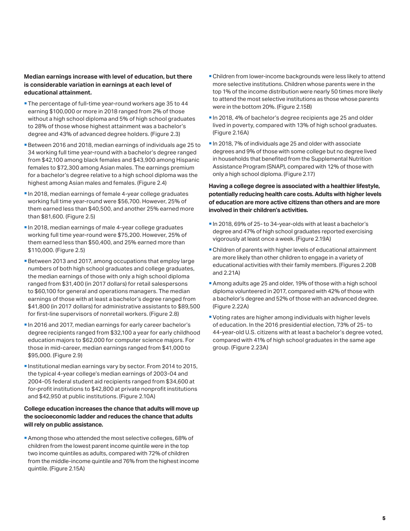### **Median earnings increase with level of education, but there is considerable variation in earnings at each level of educational attainment.**

- **The percentage of full-time year-round workers age 35 to 44** earning \$100,000 or more in 2018 ranged from 2% of those without a high school diploma and 5% of high school graduates to 28% of those whose highest attainment was a bachelor's degree and 43% of advanced degree holders. (Figure 2.3)
- Between 2016 and 2018, median earnings of individuals age 25 to 34 working full time year-round with a bachelor's degree ranged from \$42,100 among black females and \$43,900 among Hispanic females to \$72,300 among Asian males. The earnings premium for a bachelor's degree relative to a high school diploma was the highest among Asian males and females. (Figure 2.4)
- In 2018, median earnings of female 4-year college graduates working full time year-round were \$56,700. However, 25% of them earned less than \$40,500, and another 25% earned more than \$81,600. (Figure 2.5)
- In 2018, median earnings of male 4-year college graduates working full time year-round were \$75,200. However, 25% of them earned less than \$50,400, and 25% earned more than \$110,000. (Figure 2.5)
- Between 2013 and 2017, among occupations that employ large numbers of both high school graduates and college graduates, the median earnings of those with only a high school diploma ranged from \$31,400 (in 2017 dollars) for retail salespersons to \$60,100 for general and operations managers. The median earnings of those with at least a bachelor's degree ranged from \$41,800 (in 2017 dollars) for administrative assistants to \$89,500 for first-line supervisors of nonretail workers. (Figure 2.8)
- In 2016 and 2017, median earnings for early career bachelor's degree recipients ranged from \$32,100 a year for early childhood education majors to \$62,000 for computer science majors. For those in mid-career, median earnings ranged from \$41,000 to \$95,000. (Figure 2.9)
- **Institutional median earnings vary by sector. From 2014 to 2015,** the typical 4-year college's median earnings of 2003-04 and 2004-05 federal student aid recipients ranged from \$34,600 at for-profit institutions to \$42,800 at private nonprofit institutions and \$42,950 at public institutions. (Figure 2.10A)

### **College education increases the chance that adults will move up the socioeconomic ladder and reduces the chance that adults will rely on public assistance.**

Among those who attended the most selective colleges, 68% of children from the lowest parent income quintile were in the top two income quintiles as adults, compared with 72% of children from the middle-income quintile and 76% from the highest income quintile. (Figure 2.15A)

- Children from lower-income backgrounds were less likely to attend more selective institutions. Children whose parents were in the top 1% of the income distribution were nearly 50 times more likely to attend the most selective institutions as those whose parents were in the bottom 20%. (Figure 2.15B)
- In 2018, 4% of bachelor's degree recipients age 25 and older lived in poverty, compared with 13% of high school graduates. (Figure 2.16A)
- In 2018, 7% of individuals age 25 and older with associate degrees and 9% of those with some college but no degree lived in households that benefited from the Supplemental Nutrition Assistance Program (SNAP), compared with 12% of those with only a high school diploma. (Figure 2.17)

### **Having a college degree is associated with a healthier lifestyle, potentially reducing health care costs. Adults with higher levels of education are more active citizens than others and are more involved in their children's activities.**

- In 2018, 69% of 25- to 34-year-olds with at least a bachelor's degree and 47% of high school graduates reported exercising vigorously at least once a week. (Figure 2.19A)
- Children of parents with higher levels of educational attainment are more likely than other children to engage in a variety of educational activities with their family members. (Figures 2.20B and 2.21A)
- Among adults age 25 and older, 19% of those with a high school diploma volunteered in 2017, compared with 42% of those with a bachelor's degree and 52% of those with an advanced degree. (Figure 2.22A)
- Voting rates are higher among individuals with higher levels of education. In the 2016 presidential election, 73% of 25- to 44-year-old U.S. citizens with at least a bachelor's degree voted, compared with 41% of high school graduates in the same age group. (Figure 2.23A)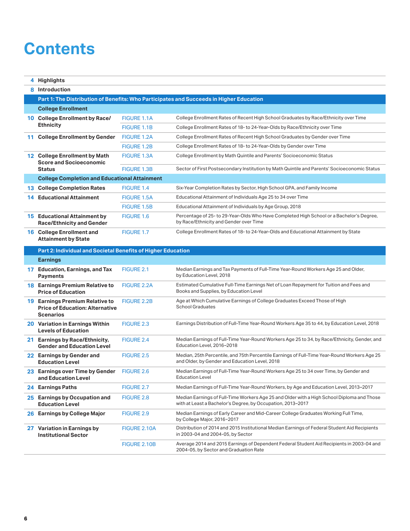### **Contents**

|    | 4 Highlights                                                                                         |                   |                                                                                                                                                           |  |  |  |  |  |  |  |
|----|------------------------------------------------------------------------------------------------------|-------------------|-----------------------------------------------------------------------------------------------------------------------------------------------------------|--|--|--|--|--|--|--|
|    | 8 Introduction                                                                                       |                   |                                                                                                                                                           |  |  |  |  |  |  |  |
|    |                                                                                                      |                   | Part 1: The Distribution of Benefits: Who Participates and Succeeds in Higher Education                                                                   |  |  |  |  |  |  |  |
|    | <b>College Enrollment</b>                                                                            |                   |                                                                                                                                                           |  |  |  |  |  |  |  |
|    | 10 College Enrollment by Race/                                                                       | FIGURE 1.1A       | College Enrollment Rates of Recent High School Graduates by Race/Ethnicity over Time                                                                      |  |  |  |  |  |  |  |
|    | <b>Ethnicity</b>                                                                                     | FIGURE 1.1B       | College Enrollment Rates of 18- to 24-Year-Olds by Race/Ethnicity over Time                                                                               |  |  |  |  |  |  |  |
|    | 11 College Enrollment by Gender                                                                      | FIGURE 1.2A       | College Enrollment Rates of Recent High School Graduates by Gender over Time                                                                              |  |  |  |  |  |  |  |
|    |                                                                                                      | FIGURE 1.2B       | College Enrollment Rates of 18- to 24-Year-Olds by Gender over Time                                                                                       |  |  |  |  |  |  |  |
|    | 12 College Enrollment by Math<br><b>Score and Socioeconomic</b>                                      | FIGURE 1.3A       | College Enrollment by Math Quintile and Parents' Socioeconomic Status                                                                                     |  |  |  |  |  |  |  |
|    | <b>Status</b>                                                                                        | FIGURE 1.3B       | Sector of First Postsecondary Institution by Math Quintile and Parents' Socioeconomic Status                                                              |  |  |  |  |  |  |  |
|    | <b>College Completion and Educational Attainment</b>                                                 |                   |                                                                                                                                                           |  |  |  |  |  |  |  |
|    | <b>13 College Completion Rates</b>                                                                   | FIGURE 1.4        | Six-Year Completion Rates by Sector, High School GPA, and Family Income                                                                                   |  |  |  |  |  |  |  |
| 14 | <b>Educational Attainment</b>                                                                        | FIGURE 1.5A       | Educational Attainment of Individuals Age 25 to 34 over Time                                                                                              |  |  |  |  |  |  |  |
|    |                                                                                                      | FIGURE 1.5B       | Educational Attainment of Individuals by Age Group, 2018                                                                                                  |  |  |  |  |  |  |  |
|    | <b>15 Educational Attainment by</b><br><b>Race/Ethnicity and Gender</b>                              | FIGURE 1.6        | Percentage of 25- to 29-Year-Olds Who Have Completed High School or a Bachelor's Degree,<br>by Race/Ethnicity and Gender over Time                        |  |  |  |  |  |  |  |
|    | 16 College Enrollment and<br><b>Attainment by State</b>                                              | FIGURE 1.7        | College Enrollment Rates of 18- to 24-Year-Olds and Educational Attainment by State                                                                       |  |  |  |  |  |  |  |
|    | Part 2: Individual and Societal Benefits of Higher Education                                         |                   |                                                                                                                                                           |  |  |  |  |  |  |  |
|    | <b>Earnings</b>                                                                                      |                   |                                                                                                                                                           |  |  |  |  |  |  |  |
|    | 17 Education, Earnings, and Tax<br><b>Payments</b>                                                   | FIGURE 2.1        | Median Earnings and Tax Payments of Full-Time Year-Round Workers Age 25 and Older,<br>by Education Level, 2018                                            |  |  |  |  |  |  |  |
|    | 18 Earnings Premium Relative to<br><b>Price of Education</b>                                         | FIGURE 2.2A       | Estimated Cumulative Full-Time Earnings Net of Loan Repayment for Tuition and Fees and<br>Books and Supplies, by Education Level                          |  |  |  |  |  |  |  |
|    | <b>19 Earnings Premium Relative to</b><br><b>Price of Education: Alternative</b><br><b>Scenarios</b> | FIGURE 2.2B       | Age at Which Cumulative Earnings of College Graduates Exceed Those of High<br><b>School Graduates</b>                                                     |  |  |  |  |  |  |  |
|    | <b>20 Variation in Earnings Within</b><br><b>Levels of Education</b>                                 | FIGURE 2.3        | Earnings Distribution of Full-Time Year-Round Workers Age 35 to 44, by Education Level, 2018                                                              |  |  |  |  |  |  |  |
|    | 21 Earnings by Race/Ethnicity,<br><b>Gender and Education Level</b>                                  | FIGURE 2.4        | Median Earnings of Full-Time Year-Round Workers Age 25 to 34, by Race/Ethnicity, Gender, and<br>Education Level, 2016-2018                                |  |  |  |  |  |  |  |
|    | 22 Earnings by Gender and<br><b>Education Level</b>                                                  | <b>FIGURE 2.5</b> | Median, 25th Percentile, and 75th Percentile Earnings of Full-Time Year-Round Workers Age 25<br>and Older, by Gender and Education Level, 2018            |  |  |  |  |  |  |  |
|    | 23 Earnings over Time by Gender<br>and Education Level                                               | FIGURE 2.6        | Median Earnings of Full-Time Year-Round Workers Age 25 to 34 over Time, by Gender and<br><b>Education Level</b>                                           |  |  |  |  |  |  |  |
|    | 24 Earnings Paths                                                                                    | FIGURE 2.7        | Median Earnings of Full-Time Year-Round Workers, by Age and Education Level, 2013–2017                                                                    |  |  |  |  |  |  |  |
|    | 25 Earnings by Occupation and<br><b>Education Level</b>                                              | FIGURE 2.8        | Median Earnings of Full-Time Workers Age 25 and Older with a High School Diploma and Those<br>with at Least a Bachelor's Degree, by Occupation, 2013–2017 |  |  |  |  |  |  |  |
|    | 26 Earnings by College Major                                                                         | FIGURE 2.9        | Median Earnings of Early Career and Mid-Career College Graduates Working Full Time,<br>by College Major, 2016-2017                                        |  |  |  |  |  |  |  |
|    | 27 Variation in Earnings by<br><b>Institutional Sector</b>                                           | FIGURE 2.10A      | Distribution of 2014 and 2015 Institutional Median Earnings of Federal Student Aid Recipients<br>in 2003-04 and 2004-05, by Sector                        |  |  |  |  |  |  |  |
|    |                                                                                                      | FIGURE 2.10B      | Average 2014 and 2015 Earnings of Dependent Federal Student Aid Recipients in 2003-04 and<br>2004-05, by Sector and Graduation Rate                       |  |  |  |  |  |  |  |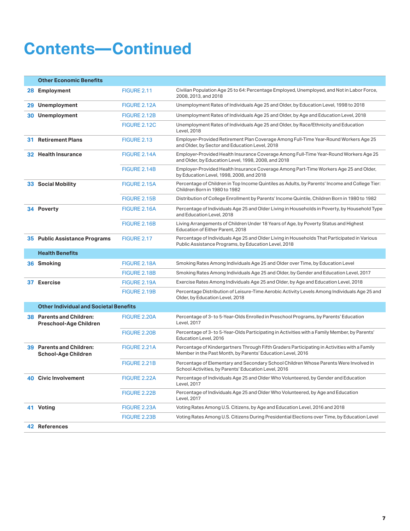### **Contents—Continued**

|     | <b>Other Economic Benefits</b>                                |                     |                                                                                                                                                             |
|-----|---------------------------------------------------------------|---------------------|-------------------------------------------------------------------------------------------------------------------------------------------------------------|
|     | 28 Employment                                                 | <b>FIGURE 2.11</b>  | Civilian Population Age 25 to 64: Percentage Employed, Unemployed, and Not in Labor Force,<br>2008, 2013, and 2018                                          |
|     | 29 Unemployment                                               | FIGURE 2.12A        | Unemployment Rates of Individuals Age 25 and Older, by Education Level, 1998 to 2018                                                                        |
|     | <b>30 Unemployment</b>                                        | FIGURE 2.12B        | Unemployment Rates of Individuals Age 25 and Older, by Age and Education Level, 2018                                                                        |
|     |                                                               | <b>FIGURE 2.12C</b> | Unemployment Rates of Individuals Age 25 and Older, by Race/Ethnicity and Education<br>Level, 2018                                                          |
| 31. | <b>Retirement Plans</b>                                       | FIGURE 2.13         | Employer-Provided Retirement Plan Coverage Among Full-Time Year-Round Workers Age 25<br>and Older, by Sector and Education Level, 2018                      |
|     | <b>32 Health Insurance</b>                                    | FIGURE 2.14A        | Employer-Provided Health Insurance Coverage Among Full-Time Year-Round Workers Age 25<br>and Older, by Education Level, 1998, 2008, and 2018                |
|     |                                                               | FIGURE 2.14B        | Employer-Provided Health Insurance Coverage Among Part-Time Workers Age 25 and Older,<br>by Education Level, 1998, 2008, and 2018                           |
|     | <b>33 Social Mobility</b>                                     | FIGURE 2.15A        | Percentage of Children in Top Income Quintiles as Adults, by Parents' Income and College Tier:<br>Children Born in 1980 to 1982                             |
|     |                                                               | FIGURE 2.15B        | Distribution of College Enrollment by Parents' Income Quintile, Children Born in 1980 to 1982                                                               |
|     | 34 Poverty                                                    | FIGURE 2.16A        | Percentage of Individuals Age 25 and Older Living in Households in Poverty, by Household Type<br>and Education Level, 2018                                  |
|     |                                                               | FIGURE 2.16B        | Living Arrangements of Children Under 18 Years of Age, by Poverty Status and Highest<br>Education of Either Parent, 2018                                    |
|     | <b>35 Public Assistance Programs</b>                          | <b>FIGURE 2.17</b>  | Percentage of Individuals Age 25 and Older Living in Households That Participated in Various<br>Public Assistance Programs, by Education Level, 2018        |
|     | <b>Health Benefits</b>                                        |                     |                                                                                                                                                             |
|     | 36 Smoking                                                    | FIGURE 2.18A        | Smoking Rates Among Individuals Age 25 and Older over Time, by Education Level                                                                              |
|     |                                                               | FIGURE 2.18B        | Smoking Rates Among Individuals Age 25 and Older, by Gender and Education Level, 2017                                                                       |
|     | 37 Exercise                                                   | FIGURE 2.19A        | Exercise Rates Among Individuals Age 25 and Older, by Age and Education Level, 2018                                                                         |
|     |                                                               | <b>FIGURE 2.19B</b> | Percentage Distribution of Leisure-Time Aerobic Activity Levels Among Individuals Age 25 and<br>Older, by Education Level, 2018                             |
|     | <b>Other Individual and Societal Benefits</b>                 |                     |                                                                                                                                                             |
|     | <b>38 Parents and Children:</b><br>Preschool-Age Children     | FIGURE 2.20A        | Percentage of 3-to 5-Year-Olds Enrolled in Preschool Programs, by Parents' Education<br>Level, 2017                                                         |
|     |                                                               | FIGURE 2.20B        | Percentage of 3- to 5-Year-Olds Participating in Activities with a Family Member, by Parents'<br>Education Level, 2016                                      |
|     | <b>39 Parents and Children:</b><br><b>School-Age Children</b> | FIGURE 2.21A        | Percentage of Kindergartners Through Fifth Graders Participating in Activities with a Family<br>Member in the Past Month, by Parents' Education Level, 2016 |
|     |                                                               | <b>FIGURE 2.21B</b> | Percentage of Elementary and Secondary School Children Whose Parents Were Involved in<br>School Activities, by Parents' Education Level, 2016               |
|     | <b>40 Civic Involvement</b>                                   | FIGURE 2.22A        | Percentage of Individuals Age 25 and Older Who Volunteered, by Gender and Education<br>Level, 2017                                                          |
|     |                                                               | <b>FIGURE 2.22B</b> | Percentage of Individuals Age 25 and Older Who Volunteered, by Age and Education<br>Level, 2017                                                             |
|     | 41 Voting                                                     | FIGURE 2.23A        | Voting Rates Among U.S. Citizens, by Age and Education Level, 2016 and 2018                                                                                 |
|     |                                                               | FIGURE 2.23B        | Voting Rates Among U.S. Citizens During Presidential Elections over Time, by Education Level                                                                |
|     | 42 References                                                 |                     |                                                                                                                                                             |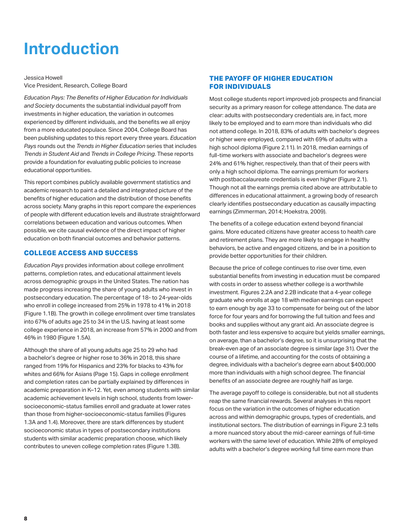## <span id="page-7-0"></span>**Introduction**

Jessica Howell Vice President, Research, College Board

*Education Pays: The Benefits of Higher Education for Individuals and Society* documents the substantial individual payoff from investments in higher education, the variation in outcomes experienced by different individuals, and the benefits we all enjoy from a more educated populace. Since 2004, College Board has been publishing updates to this report every three years. *Education Pays* rounds out the *Trends in Higher Education* series that includes *Trends in Student Aid* and *Trends in College Pricing*. These reports provide a foundation for evaluating public policies to increase educational opportunities.

This report combines publicly available government statistics and academic research to paint a detailed and integrated picture of the benefits of higher education and the distribution of those benefits across society. Many graphs in this report compare the experiences of people with different education levels and illustrate straightforward correlations between education and various outcomes. When possible, we cite causal evidence of the direct impact of higher education on both financial outcomes and behavior patterns.

### **COLLEGE ACCESS AND SUCCESS**

*Education Pays* provides information about college enrollment patterns, completion rates, and educational attainment levels across demographic groups in the United States. The nation has made progress increasing the share of young adults who invest in postsecondary education. The percentage of 18- to 24-year-olds who enroll in college increased from 25% in 1978 to 41% in 2018 (Figure 1.1B). The growth in college enrollment over time translates into 67% of adults age 25 to 34 in the U.S. having at least some college experience in 2018, an increase from 57% in 2000 and from 46% in 1980 (Figure 1.5A).

Although the share of all young adults age 25 to 29 who had a bachelor's degree or higher rose to 36% in 2018, this share ranged from 19% for Hispanics and 23% for blacks to 43% for whites and 66% for Asians (Page 15). Gaps in college enrollment and completion rates can be partially explained by differences in academic preparation in K–12. Yet, even among students with similar academic achievement levels in high school, students from lowersocioeconomic-status families enroll and graduate at lower rates than those from higher-socioeconomic-status families (Figures 1.3A and 1.4). Moreover, there are stark differences by student socioeconomic status in types of postsecondary institutions students with similar academic preparation choose, which likely contributes to uneven college completion rates (Figure 1.3B).

### **THE PAYOFF OF HIGHER EDUCATION FOR INDIVIDUALS**

Most college students report improved job prospects and financial security as a primary reason for college attendance. The data are clear: adults with postsecondary credentials are, in fact, more likely to be employed and to earn more than individuals who did not attend college. In 2018, 83% of adults with bachelor's degrees or higher were employed, compared with 69% of adults with a high school diploma (Figure 2.11). In 2018, median earnings of full-time workers with associate and bachelor's degrees were 24% and 61% higher, respectively, than that of their peers with only a high school diploma. The earnings premium for workers with postbaccalaureate credentials is even higher (Figure 2.1). Though not all the earnings premia cited above are attributable to differences in educational attainment, a growing body of research clearly identifies postsecondary education as causally impacting earnings (Zimmerman, 2014; Hoekstra, 2009).

The benefits of a college education extend beyond financial gains. More educated citizens have greater access to health care and retirement plans. They are more likely to engage in healthy behaviors, be active and engaged citizens, and be in a position to provide better opportunities for their children.

Because the price of college continues to rise over time, even substantial benefits from investing in education must be compared with costs in order to assess whether college is a worthwhile investment. Figures 2.2A and 2.2B indicate that a 4-year college graduate who enrolls at age 18 with median earnings can expect to earn enough by age 33 to compensate for being out of the labor force for four years and for borrowing the full tuition and fees and books and supplies without any grant aid. An associate degree is both faster and less expensive to acquire but yields smaller earnings, on average, than a bachelor's degree, so it is unsurprising that the break-even age of an associate degree is similar (age 31). Over the course of a lifetime, and accounting for the costs of obtaining a degree, individuals with a bachelor's degree earn about \$400,000 more than individuals with a high school degree. The financial benefits of an associate degree are roughly half as large.

The average payoff to college is considerable, but not all students reap the same financial rewards. Several analyses in this report focus on the variation in the outcomes of higher education across and within demographic groups, types of credentials, and institutional sectors. The distribution of earnings in Figure 2.3 tells a more nuanced story about the mid-career earnings of full-time workers with the same level of education. While 28% of employed adults with a bachelor's degree working full time earn more than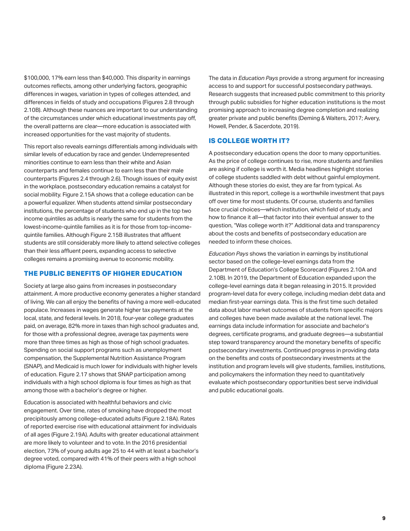\$100,000, 17% earn less than \$40,000. This disparity in earnings outcomes reflects, among other underlying factors, geographic differences in wages, variation in types of colleges attended, and differences in fields of study and occupations (Figures 2.8 through 2.10B). Although these nuances are important to our understanding of the circumstances under which educational investments pay off, the overall patterns are clear—more education is associated with increased opportunities for the vast majority of students.

This report also reveals earnings differentials among individuals with similar levels of education by race and gender. Underrepresented minorities continue to earn less than their white and Asian counterparts and females continue to earn less than their male counterparts (Figures 2.4 through 2.6). Though issues of equity exist in the workplace, postsecondary education remains a catalyst for social mobility. Figure 2.15A shows that a college education can be a powerful equalizer. When students attend similar postsecondary institutions, the percentage of students who end up in the top two income quintiles as adults is nearly the same for students from the lowest-income-quintile families as it is for those from top-incomequintile families. Although Figure 2.15B illustrates that affluent students are still considerably more likely to attend selective colleges than their less affluent peers, expanding access to selective colleges remains a promising avenue to economic mobility.

### **THE PUBLIC BENEFITS OF HIGHER EDUCATION**

Society at large also gains from increases in postsecondary attainment. A more productive economy generates a higher standard of living. We can all enjoy the benefits of having a more well-educated populace. Increases in wages generate higher tax payments at the local, state, and federal levels. In 2018, four-year college graduates paid, on average, 82% more in taxes than high school graduates and, for those with a professional degree, average tax payments were more than three times as high as those of high school graduates. Spending on social support programs such as unemployment compensation, the Supplemental Nutrition Assistance Program (SNAP), and Medicaid is much lower for individuals with higher levels of education. Figure 2.17 shows that SNAP participation among individuals with a high school diploma is four times as high as that among those with a bachelor's degree or higher.

Education is associated with healthful behaviors and civic engagement. Over time, rates of smoking have dropped the most precipitously among college-educated adults (Figure 2.18A). Rates of reported exercise rise with educational attainment for individuals of all ages (Figure 2.19A). Adults with greater educational attainment are more likely to volunteer and to vote. In the 2016 presidential election, 73% of young adults age 25 to 44 with at least a bachelor's degree voted, compared with 41% of their peers with a high school diploma (Figure 2.23A).

The data in *Education Pays* provide a strong argument for increasing access to and support for successful postsecondary pathways. Research suggests that increased public commitment to this priority through public subsidies for higher education institutions is the most promising approach to increasing degree completion and realizing greater private and public benefits (Deming & Walters, 2017; Avery, Howell, Pender, & Sacerdote, 2019).

### **IS COLLEGE WORTH IT?**

A postsecondary education opens the door to many opportunities. As the price of college continues to rise, more students and families are asking if college is worth it. Media headlines highlight stories of college students saddled with debt without gainful employment. Although these stories do exist, they are far from typical. As illustrated in this report, college is a worthwhile investment that pays off over time for most students. Of course, students and families face crucial choices—which institution, which field of study, and how to finance it all—that factor into their eventual answer to the question, "Was college worth it?" Additional data and transparency about the costs and benefits of postsecondary education are needed to inform these choices.

*Education Pays* shows the variation in earnings by institutional sector based on the college-level earnings data from the Department of Education's College Scorecard (Figures 2.10A and 2.10B). In 2019, the Department of Education expanded upon the college-level earnings data it began releasing in 2015. It provided program-level data for every college, including median debt data and median first-year earnings data. This is the first time such detailed data about labor market outcomes of students from specific majors and colleges have been made available at the national level. The earnings data include information for associate and bachelor's degrees, certificate programs, and graduate degrees—a substantial step toward transparency around the monetary benefits of specific postsecondary investments. Continued progress in providing data on the benefits and costs of postsecondary investments at the institution and program levels will give students, families, institutions, and policymakers the information they need to quantitatively evaluate which postsecondary opportunities best serve individual and public educational goals.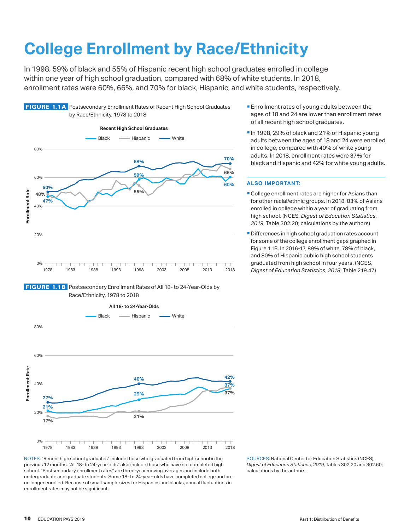# <span id="page-9-0"></span>**College Enrollment by Race/Ethnicity**

In 1998, 59% of black and 55% of Hispanic recent high school graduates enrolled in college within one year of high school graduation, compared with 68% of white students. In 2018, enrollment rates were 60%, 66%, and 70% for black, Hispanic, and white students, respectively.



FIGURE 1.1A Postsecondary Enrollment Rates of Recent High School Graduates





NOTES: "Recent high school graduates" include those who graduated from high school in the previous 12 months. "All 18- to 24-year-olds" also include those who have not completed high school. "Postsecondary enrollment rates" are three-year moving averages and include both undergraduate and graduate students. Some 18- to 24-year-olds have completed college and are no longer enrolled. Because of small sample sizes for Hispanics and blacks, annual fluctuations in enrollment rates may not be significant.

- **Enrollment rates of young adults between the** ages of 18 and 24 are lower than enrollment rates of all recent high school graduates.
- In 1998, 29% of black and 21% of Hispanic young adults between the ages of 18 and 24 were enrolled in college, compared with 40% of white young adults. In 2018, enrollment rates were 37% for black and Hispanic and 42% for white young adults.

- College enrollment rates are higher for Asians than for other racial/ethnic groups. In 2018, 83% of Asians enrolled in college within a year of graduating from high school. (NCES, *Digest of Education Statistics*, *2019*, Table 302.20; calculations by the authors)
- **Differences in high school graduation rates account** for some of the college enrollment gaps graphed in Figure 1.1B. In 2016-17, 89% of white, 78% of black, and 80% of Hispanic public high school students graduated from high school in four years. (NCES, *Digest of Education Statistics*, *2018*, Table 219.47)

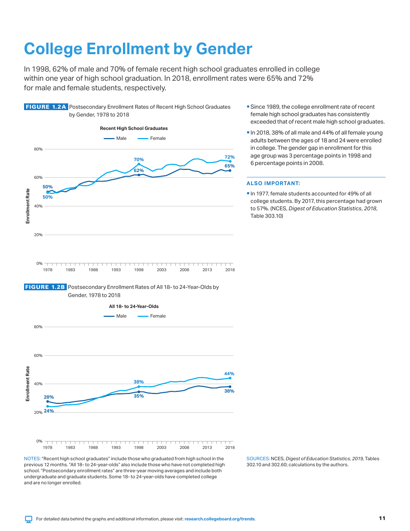# <span id="page-10-0"></span>**College Enrollment by Gender**

In 1998, 62% of male and 70% of female recent high school graduates enrolled in college within one year of high school graduation. In 2018, enrollment rates were 65% and 72% for male and female students, respectively.



FIGURE 1.2A Postsecondary Enrollment Rates of Recent High School Graduates





NOTES: "Recent high school graduates" include those who graduated from high school in the previous 12 months. "All 18- to 24-year-olds" also include those who have not completed high school. "Postsecondary enrollment rates" are three-year moving averages and include both undergraduate and graduate students. Some 18- to 24-year-olds have completed college and are no longer enrolled.

**Since 1989, the college enrollment rate of recent** female high school graduates has consistently exceeded that of recent male high school graduates.

In 2018, 38% of all male and 44% of all female young adults between the ages of 18 and 24 were enrolled in college. The gender gap in enrollment for this age group was 3 percentage points in 1998 and 6 percentage points in 2008.

### **ALSO IMPORTANT:**

In 1977, female students accounted for 49% of all college students. By 2017, this percentage had grown to 57%. (NCES, *Digest of Education Statistics*, *2018*, Table 303.10)

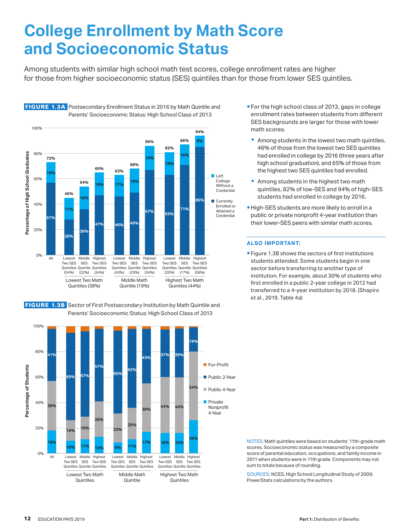### <span id="page-11-0"></span>**College Enrollment by Math Score and Socioeconomic Status**

Among students with similar high school math test scores, college enrollment rates are higher for those from higher socioeconomic status (SES) quintiles than for those from lower SES quintiles.



FIGURE 1.3A Postsecondary Enrollment Status in 2016 by Math Quintile and

FIGURE 1.3B Sector of First Postsecondary Institution by Math Quintile and Parents' Socioeconomic Status: High School Class of 2013



- **For the high school class of 2013, gaps in college** enrollment rates between students from different SES backgrounds are larger for those with lower math scores.
	- $\bullet$  Among students in the lowest two math quintiles, 46% of those from the lowest two SES quintiles had enrolled in college by 2016 (three years after high school graduation), and 65% of those from the highest two SES quintiles had enrolled.
- $*$  Among students in the highest two math quintiles, 82% of low-SES and 94% of high-SES students had enrolled in college by 2016.
- **High-SES students are more likely to enroll in a** public or private nonprofit 4-year institution than their lower-SES peers with similar math scores.

### **ALSO IMPORTANT:**

**Figure 1.3B shows the sectors of first institutions** students attended. Some students begin in one sector before transferring to another type of institution. For example, about 30% of students who first enrolled in a public 2-year college in 2012 had transferred to a 4-year institution by 2018. (Shapiro et al., 2019, Table 4a)

NOTES: Math quintiles were based on students' 11th-grade math scores. Socioeconomic status was measured by a composite score of parental education, occupations, and family income in 2011 when students were in 11th grade. Components may not sum to totals because of rounding.

SOURCES: NCES, High School Longitudinal Study of 2009; PowerStats calculations by the authors.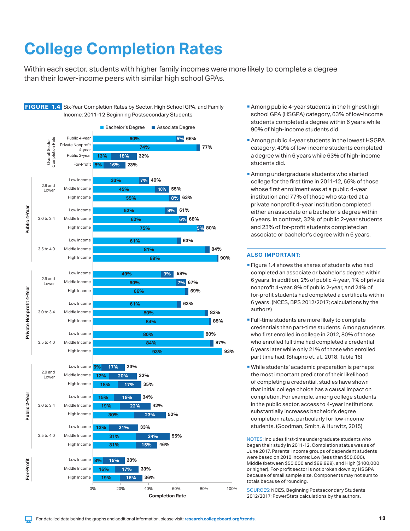# <span id="page-12-0"></span>**College Completion Rates**

Within each sector, students with higher family incomes were more likely to complete a degree than their lower-income peers with similar high school GPAs.



- **Among public 4-year students in the highest high** school GPA (HSGPA) category, 63% of low-income students completed a degree within 6 years while 90% of high-income students did.
- **Among public 4-year students in the lowest HSGPA** category, 40% of low-income students completed a degree within 6 years while 63% of high-income students did.
- **Among undergraduate students who started** college for the first time in 2011-12, 66% of those whose first enrollment was at a public 4-year institution and 77% of those who started at a private nonprofit 4-year institution completed either an associate or a bachelor's degree within 6 years. In contrast, 32% of public 2-year students and 23% of for-profit students completed an associate or bachelor's degree within 6 years.

### **ALSO IMPORTANT:**

- **Figure 1.4 shows the shares of students who had** completed an associate or bachelor's degree within 6 years. In addition, 2% of public 4-year, 1% of private nonprofit 4-year, 8% of public 2-year, and 24% of for-profit students had completed a certificate within 6 years. (NCES, BPS 2012/2017; calculations by the authors)
- **Full-time students are more likely to complete** credentials than part-time students. Among students who first enrolled in college in 2012, 80% of those who enrolled full time had completed a credential 6 years later while only 21% of those who enrolled part time had. (Shapiro et. al., 2018, Table 16)
- While students' academic preparation is perhaps the most important predictor of their likelihood of completing a credential, studies have shown that initial college choice has a causal impact on completion. For example, among college students in the public sector, access to 4-year institutions substantially increases bachelor's degree completion rates, particularly for low-income students. (Goodman, Smith, & Hurwitz, 2015)

NOTES: Includes first-time undergraduate students who began their study in 2011-12. Completion status was as of June 2017. Parents' income groups of dependent students were based on 2010 income: Low (less than \$50,000), Middle (between \$50,000 and \$99,999), and High (\$100,000 or higher). For-profit sector is not broken down by HSGPA because of small sample size. Components may not sum to totals because of rounding.

SOURCES: NCES, Beginning Postsecondary Students 2012/2017; PowerStats calculations by the authors.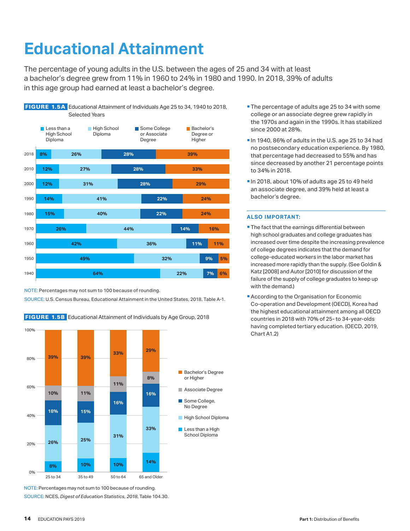# <span id="page-13-0"></span>**Educational Attainment**

The percentage of young adults in the U.S. between the ages of 25 and 34 with at least a bachelor's degree grew from 11% in 1960 to 24% in 1980 and 1990. In 2018, 39% of adults in this age group had earned at least a bachelor's degree.



NOTE: Percentages may not sum to 100 because of rounding.

SOURCE: U.S. Census Bureau, Educational Attainment in the United States, 2018, Table A-1.

FIGURE 1.5B Educational Attainment of Individuals by Age Group, 2018



NOTE: Percentages may not sum to 100 because of rounding. SOURCE: NCES, *Digest of Education Statistics, 2018*, Table 104.30.

- **The percentage of adults age 25 to 34 with some** college or an associate degree grew rapidly in the 1970s and again in the 1990s. It has stabilized since 2000 at 28%.
- In 1940, 86% of adults in the U.S. age 25 to 34 had no postsecondary education experience. By 1980, that percentage had decreased to 55% and has since decreased by another 21 percentage points to 34% in 2018.
- In 2018, about 10% of adults age 25 to 49 held an associate degree, and 39% held at least a bachelor's degree.

- **The fact that the earnings differential between** high school graduates and college graduates has increased over time despite the increasing prevalence of college degrees indicates that the demand for college-educated workers in the labor market has increased more rapidly than the supply. (See Goldin & Katz [2008] and Autor [2010] for discussion of the failure of the supply of college graduates to keep up with the demand.)
- **According to the Organisation for Economic** Co-operation and Development (OECD), Korea had the highest educational attainment among all OECD countries in 2018 with 70% of 25- to 34-year-olds having completed tertiary education. (OECD, 2019, Chart A1.2)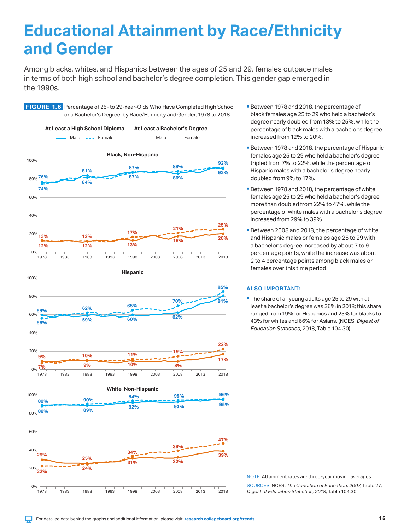### <span id="page-14-0"></span>**Educational Attainment by Race/Ethnicity and Gender**

Among blacks, whites, and Hispanics between the ages of 25 and 29, females outpace males in terms of both high school and bachelor's degree completion. This gender gap emerged in the 1990s.

**FIGURE 1.6** Percentage of 25- to 29-Year-Olds Who Have Completed High School or a Bachelor's Degree, by Race/Ethnicity and Gender, 1978 to 2018



- Between 1978 and 2018, the percentage of black females age 25 to 29 who held a bachelor's degree nearly doubled from 13% to 25%, while the percentage of black males with a bachelor's degree increased from 12% to 20%.
- Between 1978 and 2018, the percentage of Hispanic females age 25 to 29 who held a bachelor's degree tripled from 7% to 22%, while the percentage of Hispanic males with a bachelor's degree nearly doubled from 9% to 17%.
- **Between 1978 and 2018, the percentage of white** females age 25 to 29 who held a bachelor's degree more than doubled from 22% to 47%, while the percentage of white males with a bachelor's degree increased from 29% to 39%.
- **Between 2008 and 2018, the percentage of white** and Hispanic males or females age 25 to 29 with a bachelor's degree increased by about 7 to 9 percentage points, while the increase was about 2 to 4 percentage points among black males or females over this time period.

### **ALSO IMPORTANT:**

The share of all young adults age 25 to 29 with at least a bachelor's degree was 36% in 2018; this share ranged from 19% for Hispanics and 23% for blacks to 43% for whites and 66% for Asians. (NCES, *Digest of Education Statistics*, 2018, Table 104.30)

NOTE: Attainment rates are three-year moving averages. SOURCES: NCES, *The Condition of Education, 2007*, Table 27; *Digest of Education Statistics, 2018*, Table 104.30.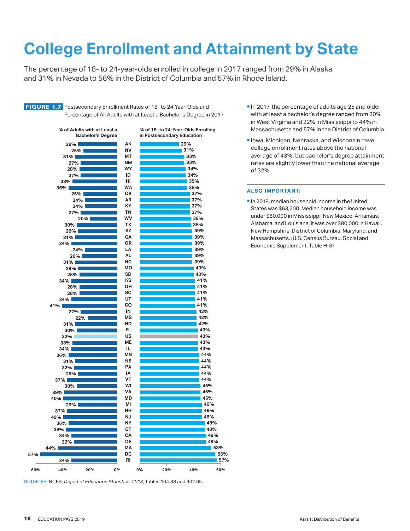# <span id="page-15-0"></span>**College Enrollment and Attainment by State**

The percentage of 18- to 24-year-olds enrolled in college in 2017 ranged from 29% in Alaska and 31% in Nevada to 56% in the District of Columbia and 57% in Rhode Island.

FIGURE 1.7 Postsecondary Enrollment Rates of 18- to 24-Year-Olds and Percentage of All Adults with at Least a Bachelor's Degree in 2017



SOURCES: NCES, *Digest of Education Statistics*, *2018*, Tables 104.88 and 302.65.

- In 2017, the percentage of adults age 25 and older with at least a bachelor's degree ranged from 20% in West Virginia and 22% in Mississippi to 44% in Massachusetts and 57% in the District of Columbia.
- Iowa, Michigan, Nebraska, and Wisconsin have college enrollment rates above the national average of 43%, but bachelor's degree attainment rates are slightly lower than the national average of 32%.

#### **ALSO IMPORTANT:**

**In 2018, median household income in the United** States was \$63,200. Median household income was under \$50,000 in Mississippi, New Mexico, Arkansas, Alabama, and Louisiana; it was over \$80,000 in Hawaii, New Hampshire, District of Columbia, Maryland, and Massachusetts. (U.S. Census Bureau, Social and Economic Supplement, Table H-8)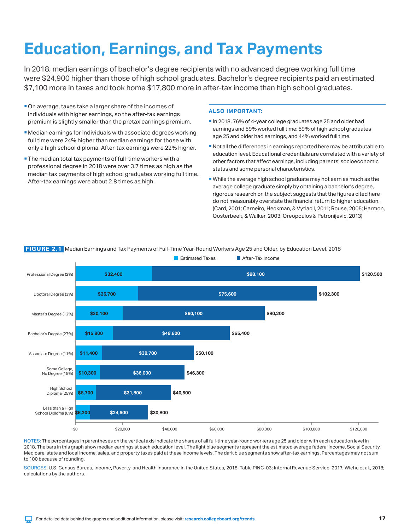# <span id="page-16-0"></span>**Education, Earnings, and Tax Payments**

In 2018, median earnings of bachelor's degree recipients with no advanced degree working full time were \$24,900 higher than those of high school graduates. Bachelor's degree recipients paid an estimated \$7,100 more in taxes and took home \$17,800 more in after-tax income than high school graduates.

- On average, taxes take a larger share of the incomes of individuals with higher earnings, so the after-tax earnings premium is slightly smaller than the pretax earnings premium.
- Median earnings for individuals with associate degrees working full time were 24% higher than median earnings for those with only a high school diploma. After-tax earnings were 22% higher.
- **The median total tax payments of full-time workers with a** professional degree in 2018 were over 3.7 times as high as the median tax payments of high school graduates working full time. After-tax earnings were about 2.8 times as high.

### **ALSO IMPORTANT:**

- In 2018, 76% of 4-year college graduates age 25 and older had earnings and 59% worked full time; 59% of high school graduates age 25 and older had earnings, and 44% worked full time.
- Not all the differences in earnings reported here may be attributable to education level. Educational credentials are correlated with a variety of other factors that affect earnings, including parents' socioeconomic status and some personal characteristics.
- While the average high school graduate may not earn as much as the average college graduate simply by obtaining a bachelor's degree, rigorous research on the subject suggests that the figures cited here do not measurably overstate the financial return to higher education. (Card, 2001; Carneiro, Heckman, & Vytlacil, 2011; Rouse, 2005; Harmon, Oosterbeek, & Walker, 2003; Oreopoulos & Petronijevic, 2013)



### FIGURE 2.1 Median Earnings and Tax Payments of Full-Time Year-Round Workers Age 25 and Older, by Education Level, 2018

NOTES: The percentages in parentheses on the vertical axis indicate the shares of all full-time year-round workers age 25 and older with each education level in 2018. The bars in this graph show median earnings at each education level. The light blue segments represent the estimated average federal income, Social Security, Medicare, state and local income, sales, and property taxes paid at these income levels. The dark blue segments show after-tax earnings. Percentages may not sum to 100 because of rounding.

SOURCES: U.S. Census Bureau, Income, Poverty, and Health Insurance in the United States, 2018, Table PINC-03; Internal Revenue Service, 2017; Wiehe et al., 2018; calculations by the authors.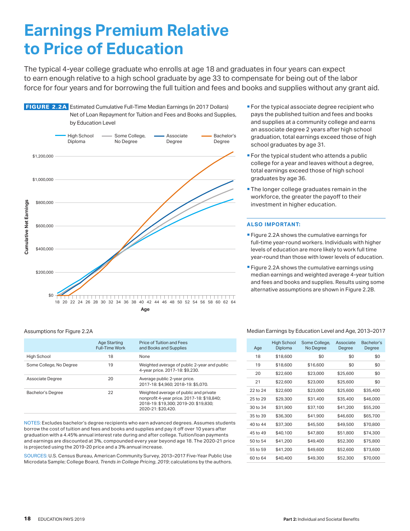### <span id="page-17-0"></span>**Earnings Premium Relative to Price of Education**

The typical 4-year college graduate who enrolls at age 18 and graduates in four years can expect to earn enough relative to a high school graduate by age 33 to compensate for being out of the labor force for four years and for borrowing the full tuition and fees and books and supplies without any grant aid.



#### Assumptions for Figure 2.2A

|                         | <b>Age Starting</b><br><b>Full-Time Work</b> | Price of Tuition and Fees<br>and Books and Supplies                                                                                                 |
|-------------------------|----------------------------------------------|-----------------------------------------------------------------------------------------------------------------------------------------------------|
| High School             | 18                                           | None                                                                                                                                                |
| Some College, No Degree | 19                                           | Weighted average of public 2-year and public<br>4-year price. 2017-18: \$9,230.                                                                     |
| Associate Degree        | 20                                           | Average public 2-year price.<br>2017-18: \$4.960: 2018-19: \$5.070.                                                                                 |
| Bachelor's Degree       | 22                                           | Weighted average of public and private<br>nonprofit 4-year price. 2017-18: \$18,840;<br>2018-19: \$19.300: 2019-20: \$19.830:<br>2020-21: \$20.420. |

NOTES: Excludes bachelor's degree recipients who earn advanced degrees. Assumes students borrow the cost of tuition and fees and books and supplies and pay it off over 10 years after graduation with a 4.45% annual interest rate during and after college. Tuition/loan payments and earnings are discounted at 3%, compounded every year beyond age 18. The 2020-21 price is projected using the 2019-20 price and a 3% annual increase.

SOURCES: U.S. Census Bureau, American Community Survey, 2013–2017 Five-Year Public Use Microdata Sample; College Board, *Trends in College Pricing*, *2019*; calculations by the authors.

- **For the typical associate degree recipient who** pays the published tuition and fees and books and supplies at a community college and earns an associate degree 2 years after high school graduation, total earnings exceed those of high school graduates by age 31.
- **For the typical student who attends a public** college for a year and leaves without a degree, total earnings exceed those of high school graduates by age 36.
- **The longer college graduates remain in the** workforce, the greater the payoff to their investment in higher education.

#### **ALSO IMPORTANT:**

- **Figure 2.2A shows the cumulative earnings for** full-time year-round workers. Individuals with higher levels of education are more likely to work full time year-round than those with lower levels of education.
- **Figure 2.2A shows the cumulative earnings using** median earnings and weighted average 4-year tuition and fees and books and supplies. Results using some alternative assumptions are shown in Figure 2.2B.

#### Median Earnings by Education Level and Age, 2013–2017

| Age      | <b>High School</b><br>Diploma | Some College,<br>No Degree | Associate<br>Degree | Bachelor's<br>Degree |
|----------|-------------------------------|----------------------------|---------------------|----------------------|
| 18       | \$18,600                      | \$0                        | \$0                 | \$0                  |
| 19       | \$18,600                      | \$16,600                   | \$0                 | \$0                  |
| 20       | \$22,600                      | \$23,000                   | \$25,600            | \$0                  |
| 21       | \$22,600                      | \$23,000                   | \$25,600            | \$0                  |
| 22 to 24 | \$22,600                      | \$23,000                   | \$25,600            | \$35,400             |
| 25 to 29 | \$29,300                      | \$31,400                   | \$35,400            | \$46,000             |
| 30 to 34 | \$31,900                      | \$37,100                   | \$41,200            | \$55,200             |
| 35 to 39 | \$36,300                      | \$41,900                   | \$46,600            | \$65,700             |
| 40 to 44 | \$37,300                      | \$45,500                   | \$49,500            | \$70,800             |
| 45 to 49 | \$40,100                      | \$47,800                   | \$51,800            | \$74,300             |
| 50 to 54 | \$41,200                      | \$49,400                   | \$52,300            | \$75,800             |
| 55 to 59 | \$41,200                      | \$49,600                   | \$52,600            | \$73,600             |
| 60 to 64 | \$40,400                      | \$49,300                   | \$52,300            | \$70,000             |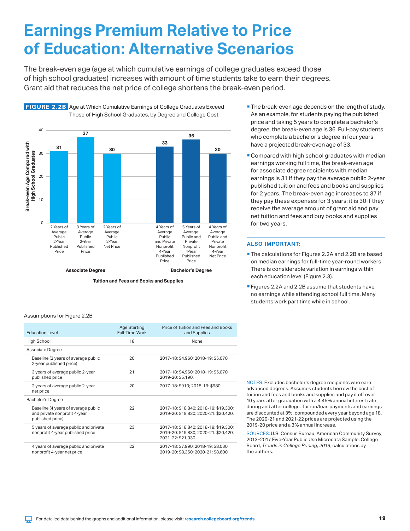### <span id="page-18-0"></span>**Earnings Premium Relative to Price of Education: Alternative Scenarios**

The break-even age (age at which cumulative earnings of college graduates exceed those of high school graduates) increases with amount of time students take to earn their degrees. Grant aid that reduces the net price of college shortens the break-even period.



FIGURE 2.2B Age at Which Cumulative Earnings of College Graduates Exceed

**Tuition and Fees and Books and Supplies**

Assumptions for Figure 2.2B

| <b>Education Level</b>                                                                  | <b>Age Starting</b><br><b>Full-Time Work</b> | Price of Tuition and Fees and Books<br>and Supplies                                                  |  |  |
|-----------------------------------------------------------------------------------------|----------------------------------------------|------------------------------------------------------------------------------------------------------|--|--|
| High School                                                                             | 18                                           | None                                                                                                 |  |  |
| Associate Degree                                                                        |                                              |                                                                                                      |  |  |
| Baseline (2 years of average public<br>2-year published price)                          | 20                                           | 2017-18: \$4,960; 2018-19: \$5,070.                                                                  |  |  |
| 3 years of average public 2-year<br>published price                                     | 21                                           | 2017-18: \$4,960; 2018-19: \$5,070;<br>2019-20: \$5.190.                                             |  |  |
| 2 years of average public 2-year<br>net price                                           | 20                                           | 2017-18: \$910; 2018-19: \$980.                                                                      |  |  |
| Bachelor's Degree                                                                       |                                              |                                                                                                      |  |  |
| Baseline (4 years of average public<br>and private nonprofit 4-year<br>published price) | 22                                           | 2017-18: \$18,840; 2018-19: \$19,300;<br>2019-20: \$19,830; 2020-21: \$20,420.                       |  |  |
| 5 years of average public and private<br>nonprofit 4-year published price               | 23                                           | 2017-18: \$18,840; 2018-19: \$19,300;<br>2019-20: \$19,830; 2020-21: \$20,420;<br>2021-22: \$21.030. |  |  |
| 4 years of average public and private<br>nonprofit 4-year net price                     | 22                                           | 2017-18: \$7,990; 2018-19: \$8,030;<br>2019-20: \$8,350; 2020-21: \$8,600.                           |  |  |

- **The break-even age depends on the length of study.** As an example, for students paying the published price and taking 5 years to complete a bachelor's degree, the break-even age is 36. Full-pay students who complete a bachelor's degree in four years have a projected break-even age of 33.
- **Compared with high school graduates with median** earnings working full time, the break-even age for associate degree recipients with median earnings is 31 if they pay the average public 2-year published tuition and fees and books and supplies for 2 years. The break-even age increases to 37 if they pay these expenses for 3 years; it is 30 if they receive the average amount of grant aid and pay net tuition and fees and buy books and supplies for two years.

### **ALSO IMPORTANT:**

- The calculations for Figures 2.2A and 2.2B are based on median earnings for full-time year-round workers. There is considerable variation in earnings within each education level (Figure 2.3).
- **Figures 2.2A and 2.2B assume that students have** no earnings while attending school full time. Many students work part time while in school.

NOTES: Excludes bachelor's degree recipients who earn advanced degrees. Assumes students borrow the cost of tuition and fees and books and supplies and pay it off over 10 years after graduation with a 4.45% annual interest rate during and after college. Tuition/loan payments and earnings are discounted at 3%, compounded every year beyond age 18. The 2020-21 and 2021-22 prices are projected using the 2019-20 price and a 3% annual increase.

SOURCES: U.S. Census Bureau, American Community Survey, 2013–2017 Five-Year Public Use Microdata Sample; College Board, *Trends in College Pricing*, *2019*; calculations by the authors.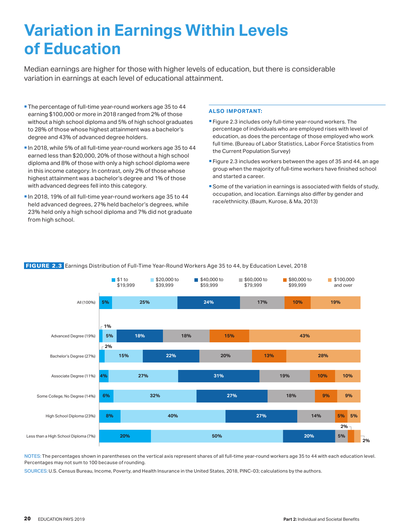### <span id="page-19-0"></span>**Variation in Earnings Within Levels of Education**

Median earnings are higher for those with higher levels of education, but there is considerable variation in earnings at each level of educational attainment.

- **The percentage of full-time year-round workers age 35 to 44** earning \$100,000 or more in 2018 ranged from 2% of those without a high school diploma and 5% of high school graduates to 28% of those whose highest attainment was a bachelor's degree and 43% of advanced degree holders.
- In 2018, while 5% of all full-time year-round workers age 35 to 44 earned less than \$20,000, 20% of those without a high school diploma and 8% of those with only a high school diploma were in this income category. In contrast, only 2% of those whose highest attainment was a bachelor's degree and 1% of those with advanced degrees fell into this category.
- In 2018, 19% of all full-time year-round workers age 35 to 44 held advanced degrees, 27% held bachelor's degrees, while 23% held only a high school diploma and 7% did not graduate from high school.

### **ALSO IMPORTANT:**

- Figure 2.3 includes only full-time year-round workers. The percentage of individuals who are employed rises with level of education, as does the percentage of those employed who work full time. (Bureau of Labor Statistics, Labor Force Statistics from the Current Population Survey)
- Figure 2.3 includes workers between the ages of 35 and 44, an age group when the majority of full-time workers have finished school and started a career.
- Some of the variation in earnings is associated with fields of study, occupation, and location. Earnings also differ by gender and race/ethnicity. (Baum, Kurose, & Ma, 2013)



### FIGURE 2.3 Earnings Distribution of Full-Time Year-Round Workers Age 35 to 44, by Education Level, 2018

NOTES: The percentages shown in parentheses on the vertical axis represent shares of all full-time year-round workers age 35 to 44 with each education level. Percentages may not sum to 100 because of rounding.

SOURCES: U.S. Census Bureau, Income, Poverty, and Health Insurance in the United States, 2018, PINC-03; calculations by the authors.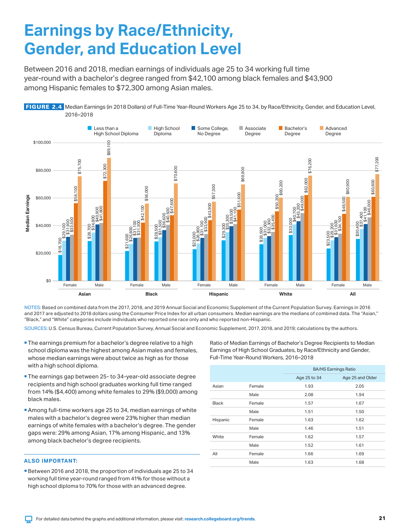### <span id="page-20-0"></span>**Earnings by Race/Ethnicity, Gender, and Education Level**

Between 2016 and 2018, median earnings of individuals age 25 to 34 working full time year-round with a bachelor's degree ranged from \$42,100 among black females and \$43,900 among Hispanic females to \$72,300 among Asian males.



NOTES: Based on combined data from the 2017, 2018, and 2019 Annual Social and Economic Supplement of the Current Population Survey. Earnings in 2016 and 2017 are adjusted to 2018 dollars using the Consumer Price Index for all urban consumers. Median earnings are the medians of combined data. The "Asian," "Black," and "White" categories include individuals who reported one race only and who reported non-Hispanic.

SOURCES: U.S. Census Bureau, Current Population Survey, Annual Social and Economic Supplement, 2017, 2018, and 2019; calculations by the authors.

- **The earnings premium for a bachelor's degree relative to a high** school diploma was the highest among Asian males and females, whose median earnings were about twice as high as for those with a high school diploma.
- **The earnings gap between 25- to 34-year-old associate degree** recipients and high school graduates working full time ranged from 14% (\$4,400) among white females to 29% (\$9,000) among black males.
- Among full-time workers age 25 to 34, median earnings of white males with a bachelor's degree were 23% higher than median earnings of white females with a bachelor's degree. The gender gaps were: 29% among Asian, 17% among Hispanic, and 13% among black bachelor's degree recipients.

#### **ALSO IMPORTANT:**

Between 2016 and 2018, the proportion of individuals age 25 to 34 working full time year-round ranged from 41% for those without a high school diploma to 70% for those with an advanced degree.

Ratio of Median Earnings of Bachelor's Degree Recipients to Median Earnings of High School Graduates, by Race/Ethnicity and Gender, Full-Time Year-Round Workers, 2016–2018

|              |        | <b>BA/HS Earnings Ratio</b> |                  |  |  |  |  |  |
|--------------|--------|-----------------------------|------------------|--|--|--|--|--|
|              |        | Age 25 to 34                | Age 25 and Older |  |  |  |  |  |
| Asian        | Female | 1.93                        | 2.05             |  |  |  |  |  |
|              | Male   | 2.08                        | 1.94             |  |  |  |  |  |
| <b>Black</b> | Female | 1.57                        | 1.67             |  |  |  |  |  |
|              | Male   | 1.51                        | 1.50             |  |  |  |  |  |
| Hispanic     | Female | 1.63                        | 1.62             |  |  |  |  |  |
|              | Male   | 1.46                        | 1.51             |  |  |  |  |  |
| White        | Female | 1.62                        | 1.57             |  |  |  |  |  |
|              | Male   | 1.52                        | 1.61             |  |  |  |  |  |
| All          | Female | 1.66                        | 1.69             |  |  |  |  |  |
|              | Male   | 1.63                        | 1.68             |  |  |  |  |  |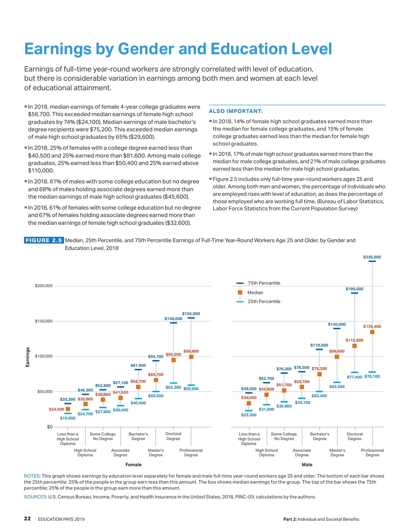# <span id="page-21-0"></span>**Earnings by Gender and Education Level**

Earnings of full-time year-round workers are strongly correlated with level of education, but there is considerable variation in earnings among both men and women at each level of educational attainment.

- In 2018, median earnings of female 4-year college graduates were \$56,700. This exceeded median earnings of female high school graduates by 74% (\$24,100). Median earnings of male bachelor's degree recipients were \$75,200. This exceeded median earnings of male high school graduates by 65% (\$29,600).
- In 2018, 25% of females with a college degree earned less than \$40,500 and 25% earned more than \$81,600. Among male college graduates, 25% earned less than \$50,400 and 25% earned above \$110,000.
- In 2018, 61% of males with some college education but no degree and 68% of males holding associate degrees earned more than the median earnings of male high school graduates (\$45,600).
- In 2018, 61% of females with some college education but no degree and 67% of females holding associate degrees earned more than the median earnings of female high school graduates (\$32,600).

### **ALSO IMPORTANT:**

- In 2018, 14% of female high school graduates earned more than the median for female college graduates, and 15% of female college graduates earned less than the median for female high school graduates.
- In 2018, 17% of male high school graduates earned more than the median for male college graduates, and 21% of male college graduates earned less than the median for male high school graduates.
- Figure 2.5 includes only full-time year-round workers ages 25 and older. Among both men and women, the percentage of individuals who are employed rises with level of education, as does the percentage of those employed who are working full time. (Bureau of Labor Statistics, Labor Force Statistics from the Current Population Survey)

**\$235,000**

 FIGURE 2.5 Median, 25th Percentile, and 75th Percentile Earnings of Full-Time Year-Round Workers Age 25 and Older, by Gender and Education Level, 2018



NOTES: This graph shows earnings by education level separately for female and male full-time year-round workers age 25 and older. The bottom of each bar shows the 25th percentile; 25% of the people in the group earn less than this amount. The box shows median earnings for the group. The top of the bar shows the 75th percentile; 25% of the people in the group earn more than this amount.

SOURCES: U.S. Census Bureau, Income, Poverty, and Health Insurance in the United States, 2018, PINC-03; calculations by the authors.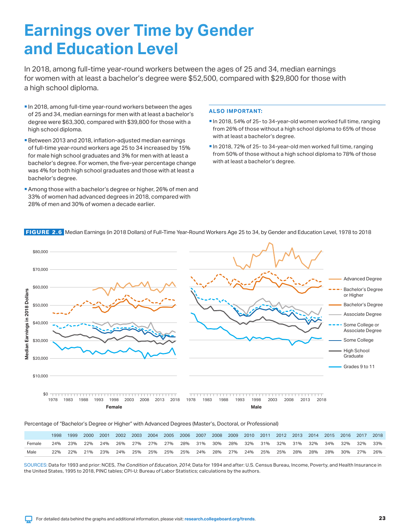### <span id="page-22-0"></span>**Earnings over Time by Gender and Education Level**

In 2018, among full-time year-round workers between the ages of 25 and 34, median earnings for women with at least a bachelor's degree were \$52,500, compared with \$29,800 for those with a high school diploma.

- In 2018, among full-time year-round workers between the ages of 25 and 34, median earnings for men with at least a bachelor's degree were \$63,300, compared with \$39,800 for those with a high school diploma.
- Between 2013 and 2018, inflation-adjusted median earnings of full-time year-round workers age 25 to 34 increased by 15% for male high school graduates and 3% for men with at least a bachelor's degree. For women, the five-year percentage change was 4% for both high school graduates and those with at least a bachelor's degree.
- Among those with a bachelor's degree or higher, 26% of men and 33% of women had advanced degrees in 2018, compared with 28% of men and 30% of women a decade earlier.

### **ALSO IMPORTANT:**

- In 2018, 54% of 25- to 34-year-old women worked full time, ranging from 26% of those without a high school diploma to 65% of those with at least a bachelor's degree.
- In 2018, 72% of 25- to 34-year-old men worked full time, ranging from 50% of those without a high school diploma to 78% of those with at least a bachelor's degree.



FIGURE 2.6 Median Earnings (in 2018 Dollars) of Full-Time Year-Round Workers Age 25 to 34, by Gender and Education Level, 1978 to 2018

#### Percentage of "Bachelor's Degree or Higher" with Advanced Degrees (Master's, Doctoral, or Professional)

|        | 1998. |  | 1999 2000 2001 2002 2003 2004 2005 2006 2007 2008 2009 2010 2011 2012 2013 2014 2015 2016 2017 2018 |  |  |  |  |  |  |  |  |
|--------|-------|--|-----------------------------------------------------------------------------------------------------|--|--|--|--|--|--|--|--|
| Female |       |  | 24% 23% 22% 24% 26% 27% 27% 27% 28% 31% 30% 28% 32% 31% 32% 31% 32% 34% 34% 32% 32%                 |  |  |  |  |  |  |  |  |
| Male   |       |  | 22% 21% 23% 24% 25% 25% 25% 25% 25% 24% 28% 27% 24% 25% 25% 28% 28% 28% 30% 27% 26%                 |  |  |  |  |  |  |  |  |

SOURCES: Data for 1993 and prior: NCES, *The Condition of Education, 2014*; Data for 1994 and after: U.S. Census Bureau, Income, Poverty, and Health Insurance in the United States, 1995 to 2018, PINC tables; CPI-U: Bureau of Labor Statistics; calculations by the authors.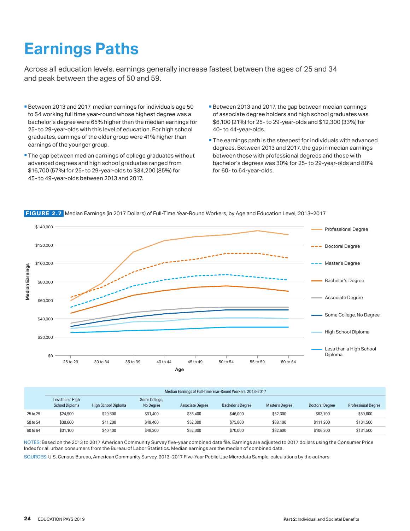# <span id="page-23-0"></span>**Earnings Paths**

Across all education levels, earnings generally increase fastest between the ages of 25 and 34 and peak between the ages of 50 and 59.

- Between 2013 and 2017, median earnings for individuals age 50 to 54 working full time year-round whose highest degree was a bachelor's degree were 65% higher than the median earnings for 25- to 29-year-olds with this level of education. For high school graduates, earnings of the older group were 41% higher than earnings of the younger group.
- **The gap between median earnings of college graduates without** advanced degrees and high school graduates ranged from \$16,700 (57%) for 25- to 29-year-olds to \$34,200 (85%) for 45- to 49-year-olds between 2013 and 2017.
- Between 2013 and 2017, the gap between median earnings of associate degree holders and high school graduates was \$6,100 (21%) for 25- to 29-year-olds and \$12,300 (33%) for 40- to 44-year-olds.
- **The earnings path is the steepest for individuals with advanced** degrees. Between 2013 and 2017, the gap in median earnings between those with professional degrees and those with bachelor's degrees was 30% for 25- to 29-year-olds and 88% for 60- to 64-year-olds.



FIGURE 2.7 Median Earnings (in 2017 Dollars) of Full-Time Year-Round Workers, by Age and Education Level, 2013–2017

|          | Median Earnings of Full-Time Year-Round Workers, 2013-2017 |                            |                            |                         |                          |                 |                 |                            |  |  |
|----------|------------------------------------------------------------|----------------------------|----------------------------|-------------------------|--------------------------|-----------------|-----------------|----------------------------|--|--|
|          | Less than a High<br><b>School Diploma</b>                  | <b>High School Diploma</b> | Some College,<br>No Degree | <b>Associate Degree</b> | <b>Bachelor's Degree</b> | Master's Degree | Doctoral Degree | <b>Professional Degree</b> |  |  |
| 25 to 29 | \$24,900                                                   | \$29,300                   | \$31,400                   | \$35,400                | \$46,000                 | \$52,300        | \$63,700        | \$59,600                   |  |  |
| 50 to 54 | \$30,600                                                   | \$41.200                   | \$49,400                   | \$52,300                | \$75,800                 | \$88,100        | \$111.200       | \$131,500                  |  |  |
| 60 to 64 | \$31,100                                                   | \$40,400                   | \$49,300                   | \$52,300                | \$70,000                 | \$82,600        | \$106,200       | \$131,500                  |  |  |

NOTES: Based on the 2013 to 2017 American Community Survey five-year combined data file. Earnings are adjusted to 2017 dollars using the Consumer Price Index for all urban consumers from the Bureau of Labor Statistics. Median earnings are the median of combined data.

SOURCES: U.S. Census Bureau, American Community Survey, 2013–2017 Five-Year Public Use Microdata Sample; calculations by the authors.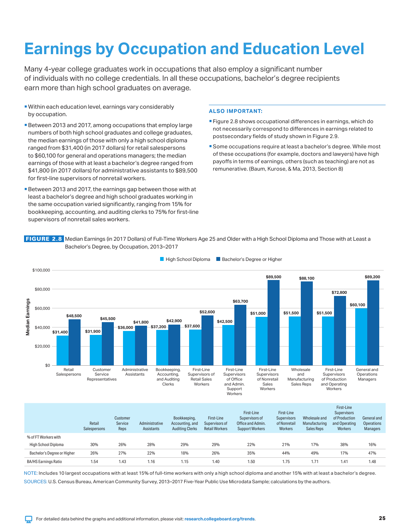# <span id="page-24-0"></span>**Earnings by Occupation and Education Level**

Many 4-year college graduates work in occupations that also employ a significant number of individuals with no college credentials. In all these occupations, bachelor's degree recipients earn more than high school graduates on average.

- Within each education level, earnings vary considerably by occupation.
- Between 2013 and 2017, among occupations that employ large numbers of both high school graduates and college graduates, the median earnings of those with only a high school diploma ranged from \$31,400 (in 2017 dollars) for retail salespersons to \$60,100 for general and operations managers; the median earnings of those with at least a bachelor's degree ranged from \$41,800 (in 2017 dollars) for administrative assistants to \$89,500 for first-line supervisors of nonretail workers.
- Between 2013 and 2017, the earnings gap between those with at least a bachelor's degree and high school graduates working in the same occupation varied significantly, ranging from 15% for bookkeeping, accounting, and auditing clerks to 75% for first-line supervisors of nonretail sales workers.

### **ALSO IMPORTANT:**

- Figure 2.8 shows occupational differences in earnings, which do not necessarily correspond to differences in earnings related to postsecondary fields of study shown in Figure 2.9.
- Some occupations require at least a bachelor's degree. While most of these occupations (for example, doctors and lawyers) have high payoffs in terms of earnings, others (such as teaching) are not as remunerative. (Baum, Kurose, & Ma, 2013, Section 8)

FIGURE 2.8 Median Earnings (in 2017 Dollars) of Full-Time Workers Age 25 and Older with a High School Diploma and Those with at Least a Bachelor's Degree, by Occupation, 2013–2017



**High School Diploma** Bachelor's Degree or Higher

|                             | Retail<br>Salespersons | Customer<br>Service<br>Reps | Administrative<br>Assistants | Bookkeeping,<br>Accounting, and<br><b>Auditing Clerks</b> | First-Line<br>Supervisors of<br><b>Retail Workers</b> | First-Line<br>Supervisors of<br>Office and Admin.<br><b>Support Workers</b> | First-Line<br><b>Supervisors</b><br>of Nonretail<br>Workers | Wholesale and<br>Manufacturing<br><b>Sales Reps</b> | First-Line<br><b>Supervisors</b><br>of Production<br>and Operating<br>Workers | General and<br><b>Operations</b><br><b>Managers</b> |
|-----------------------------|------------------------|-----------------------------|------------------------------|-----------------------------------------------------------|-------------------------------------------------------|-----------------------------------------------------------------------------|-------------------------------------------------------------|-----------------------------------------------------|-------------------------------------------------------------------------------|-----------------------------------------------------|
| % of FT Workers with        |                        |                             |                              |                                                           |                                                       |                                                                             |                                                             |                                                     |                                                                               |                                                     |
| High School Diploma         | 30%                    | 26%                         | 28%                          | 29%                                                       | 29%                                                   | 22%                                                                         | 21%                                                         | 17%                                                 | 38%                                                                           | 16%                                                 |
| Bachelor's Degree or Higher | 26%                    | 27%                         | 22%                          | 18%                                                       | 26%                                                   | 35%                                                                         | 44%                                                         | 49%                                                 | 17%                                                                           | 47%                                                 |
| <b>BA/HS Earnings Ratio</b> | 1.54                   | 1.43                        | 1.16                         | 1.15                                                      | 1.40                                                  | 1.50                                                                        | 1.75                                                        | 1.71                                                | 1.41                                                                          | 1.48                                                |
|                             |                        |                             |                              |                                                           |                                                       |                                                                             |                                                             |                                                     |                                                                               |                                                     |

NOTE: Includes 10 largest occupations with at least 15% of full-time workers with only a high school diploma and another 15% with at least a bachelor's degree. SOURCES: U.S. Census Bureau, American Community Survey, 2013–2017 Five-Year Public Use Microdata Sample; calculations by the authors.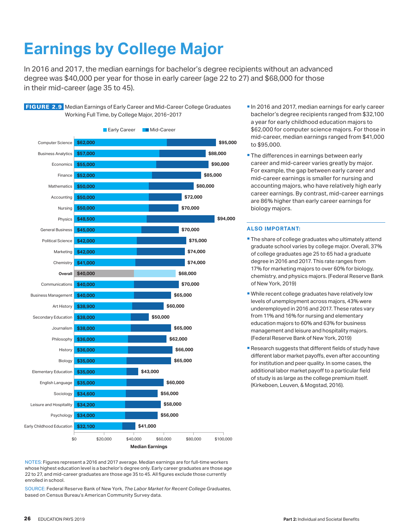# <span id="page-25-0"></span>**Earnings by College Major**

FIGURE 2.9 Median Earnings of Early Career and Mid-Career College Graduates

In 2016 and 2017, the median earnings for bachelor's degree recipients without an advanced degree was \$40,000 per year for those in early career (age 22 to 27) and \$68,000 for those in their mid-career (age 35 to 45).



NOTES: Figures represent a 2016 and 2017 average. Median earnings are for full-time workers whose highest education level is a bachelor's degree only. Early career graduates are those age 22 to 27, and mid-career graduates are those age 35 to 45. All figures exclude those currently enrolled in school.

SOURCE: Federal Reserve Bank of New York, *The Labor Market for Recent College Graduates*, based on Census Bureau's American Community Survey data.

- In 2016 and 2017, median earnings for early career bachelor's degree recipients ranged from \$32,100 a year for early childhood education majors to \$62,000 for computer science majors. For those in mid-career, median earnings ranged from \$41,000 to \$95,000.
- **The differences in earnings between early** career and mid-career varies greatly by major. For example, the gap between early career and mid-career earnings is smaller for nursing and accounting majors, who have relatively high early career earnings. By contrast, mid-career earnings are 86% higher than early career earnings for biology majors.

- **The share of college graduates who ultimately attend** graduate school varies by college major. Overall, 37% of college graduates age 25 to 65 had a graduate degree in 2016 and 2017. This rate ranges from 17% for marketing majors to over 60% for biology, chemistry, and physics majors. (Federal Reserve Bank of New York, 2019)
- While recent college graduates have relatively low levels of unemployment across majors, 43% were underemployed in 2016 and 2017. These rates vary from 11% and 16% for nursing and elementary education majors to 60% and 63% for business management and leisure and hospitality majors. (Federal Reserve Bank of New York, 2019)
- **Research suggests that different fields of study have** different labor market payoffs, even after accounting for institution and peer quality. In some cases, the additional labor market payoff to a particular field of study is as large as the college premium itself. (Kirkeboen, Leuven, & Mogstad, 2016).

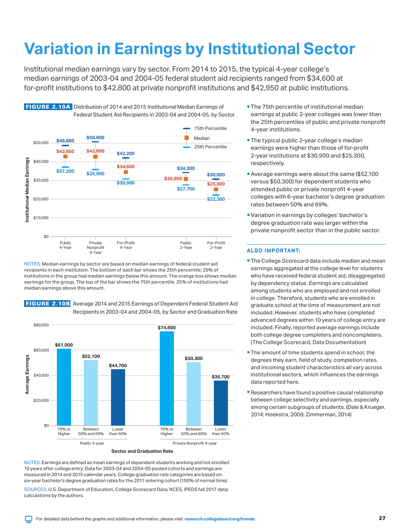# <span id="page-26-0"></span>**Variation in Earnings by Institutional Sector**

Institutional median earnings vary by sector. From 2014 to 2015, the typical 4-year college's median earnings of 2003-04 and 2004-05 federal student aid recipients ranged from \$34,600 at for-profit institutions to \$42,800 at private nonprofit institutions and \$42,950 at public institutions.





NOTES: Median earnings by sector are based on median earnings of federal student aid recipients in each institution. The bottom of each bar shows the 25th percentile; 25% of institutions in the group had median earnings below this amount. The orange box shows median earnings for the group. The top of the bar shows the 75th percentile; 25% of institutions had median earnings above this amount.

### FIGURE 2.10B Average 2014 and 2015 Earnings of Dependent Federal Student Aid Recipients in 2003-04 and 2004-05, by Sector and Graduation Rate



NOTES: Earnings are defined as mean earnings of dependent students working and not enrolled 10 years after college entry. Data for 2003-04 and 2004-05 pooled cohorts and earnings are measured in 2014 and 2015 calendar years. College graduation rate categories are based on six-year bachelor's degree graduation rates for the 2011 entering cohort (150% of normal time).

SOURCES: U.S. Department of Education, College Scorecard Data; NCES, IPEDS fall 2017 data; calculations by the authors.

- **The 75th percentile of institutional median** earnings at public 2-year colleges was lower than the 25th percentiles of public and private nonprofit 4-year institutions.
- **The typical public 2-year college's median** earnings were higher than those of for-profit 2-year institutions at \$30,900 and \$25,300, respectively.
- Average earnings were about the same (\$52,100 versus \$50,300) for dependent students who attended public or private nonprofit 4-year colleges with 6-year bachelor's degree graduation rates between 50% and 69%.
- Variation in earnings by colleges' bachelor's degree graduation rate was larger within the private nonprofit sector than in the public sector.

- **The College Scorecard data include median and mean** earnings aggregated at the college level for students who have received federal student aid, disaggregated by dependency status. Earnings are calculated among students who are employed and not enrolled in college. Therefore, students who are enrolled in graduate school at the time of measurement are not included. However, students who have completed advanced degrees within 10 years of college entry are included. Finally, reported average earnings include both college degree completers and noncompleters. (The College Scorecard, Data Documentation)
- **The amount of time students spend in school, the** degrees they earn, field of study, completion rates, and incoming student characteristics all vary across institutional sectors, which influences the earnings data reported here.
- Researchers have found a positive causal relationship between college selectivity and earnings, especially among certain subgroups of students. (Dale & Krueger, 2014; Hoekstra, 2009; Zimmerman, 2014)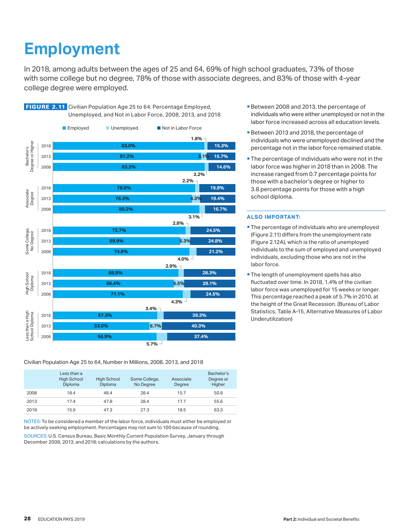# <span id="page-27-0"></span>**Employment**

In 2018, among adults between the ages of 25 and 64, 69% of high school graduates, 73% of those with some college but no degree, 78% of those with associate degrees, and 83% of those with 4-year college degree were employed.





#### Civilian Population Age 25 to 64, Number in Millions, 2008, 2013, and 2018

|      | Less than a<br><b>High School</b><br>Diploma | <b>High School</b><br>Diploma | Some College,<br>No Degree | Associate<br>Degree | Bachelor's<br>Degree or<br>Higher |
|------|----------------------------------------------|-------------------------------|----------------------------|---------------------|-----------------------------------|
| 2008 | 18.4                                         | 48.4                          | 28.4                       | 15.7                | 50.9                              |
| 2013 | 17.4                                         | 47.8                          | 28.4                       | 17.7                | 55.6                              |
| 2018 | 15.9                                         | 47.3                          | 27.3                       | 18.5                | 63.3                              |

NOTES: To be considered a member of the labor force, individuals must either be employed or be actively seeking employment. Percentages may not sum to 100 because of rounding.

SOURCES: U.S. Census Bureau, Basic Monthly Current Population Survey, January through December 2008, 2013, and 2018; calculations by the authors.

- Between 2008 and 2013, the percentage of individuals who were either unemployed or not in the labor force increased across all education levels.
- Between 2013 and 2018, the percentage of individuals who were unemployed declined and the percentage not in the labor force remained stable.
- **The percentage of individuals who were not in the** labor force was higher in 2018 than in 2008. The increase ranged from 0.7 percentage points for those with a bachelor's degree or higher to 3.8 percentage points for those with a high school diploma.

- **The percentage of individuals who are unemployed** (Figure 2.11) differs from the unemployment rate (Figure 2.12A), which is the ratio of unemployed individuals to the sum of employed and unemployed individuals, excluding those who are not in the labor force.
- **The length of unemployment spells has also** fluctuated over time. In 2018, 1.4% of the civilian labor force was unemployed for 15 weeks or longer. This percentage reached a peak of 5.7% in 2010, at the height of the Great Recession. (Bureau of Labor Statistics, Table A-15, Alternative Measures of Labor Underutilization)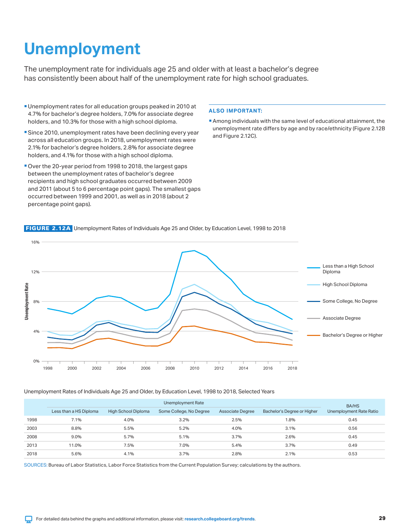# <span id="page-28-0"></span>**Unemployment**

The unemployment rate for individuals age 25 and older with at least a bachelor's degree has consistently been about half of the unemployment rate for high school graduates.

- Unemployment rates for all education groups peaked in 2010 at 4.7% for bachelor's degree holders, 7.0% for associate degree holders, and 10.3% for those with a high school diploma.
- Since 2010, unemployment rates have been declining every year across all education groups. In 2018, unemployment rates were 2.1% for bachelor's degree holders, 2.8% for associate degree holders, and 4.1% for those with a high school diploma.
- Over the 20-year period from 1998 to 2018, the largest gaps between the unemployment rates of bachelor's degree recipients and high school graduates occurred between 2009 and 2011 (about 5 to 6 percentage point gaps). The smallest gaps occurred between 1999 and 2001, as well as in 2018 (about 2 percentage point gaps).

### **ALSO IMPORTANT:**

Among individuals with the same level of educational attainment, the unemployment rate differs by age and by race/ethnicity (Figure 2.12B and Figure 2.12C).



FIGURE 2.12A Unemployment Rates of Individuals Age 25 and Older, by Education Level, 1998 to 2018

Unemployment Rates of Individuals Age 25 and Older, by Education Level, 1998 to 2018, Selected Years

|      |                        | BA/HS               |                         |                         |                             |                         |
|------|------------------------|---------------------|-------------------------|-------------------------|-----------------------------|-------------------------|
|      | Less than a HS Diploma | High School Diploma | Some College, No Degree | <b>Associate Degree</b> | Bachelor's Degree or Higher | Unemployment Rate Ratio |
| 1998 | 7.1%                   | 4.0%                | 3.2%                    | 2.5%                    | 1.8%                        | 0.45                    |
| 2003 | 8.8%                   | 5.5%                | 5.2%                    | 4.0%                    | 3.1%                        | 0.56                    |
| 2008 | 9.0%                   | 5.7%                | 5.1%                    | 3.7%                    | 2.6%                        | 0.45                    |
| 2013 | 11.0%                  | 7.5%                | 7.0%                    | 5.4%                    | 3.7%                        | 0.49                    |
| 2018 | 5.6%                   | 4.1%                | 3.7%                    | 2.8%                    | 2.1%                        | 0.53                    |

SOURCES: Bureau of Labor Statistics, Labor Force Statistics from the Current Population Survey; calculations by the authors.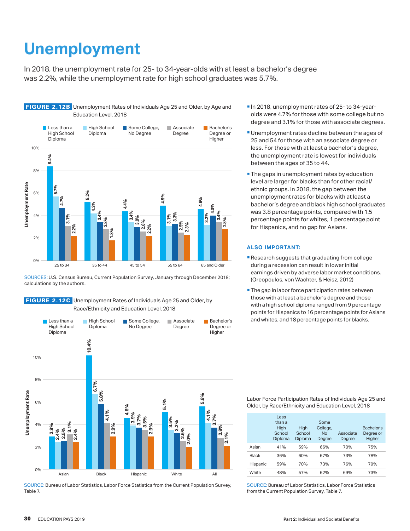## <span id="page-29-0"></span>**Unemployment**

In 2018, the unemployment rate for 25- to 34-year-olds with at least a bachelor's degree was 2.2%, while the unemployment rate for high school graduates was 5.7%.



SOURCES: U.S. Census Bureau, Current Population Survey, January through December 2018; calculations by the authors.

 FIGURE 2.12C Unemployment Rates of Individuals Age 25 and Older, by Race/Ethnicity and Education Level, 2018



SOURCE: Bureau of Labor Statistics, Labor Force Statistics from the Current Population Survey, Table 7.

- In 2018, unemployment rates of 25- to 34-yearolds were 4.7% for those with some college but no degree and 3.1% for those with associate degrees.
- **Unemployment rates decline between the ages of** 25 and 54 for those with an associate degree or less. For those with at least a bachelor's degree, the unemployment rate is lowest for individuals between the ages of 35 to 44.
- **The gaps in unemployment rates by education** level are larger for blacks than for other racial/ ethnic groups. In 2018, the gap between the unemployment rates for blacks with at least a bachelor's degree and black high school graduates was 3.8 percentage points, compared with 1.5 percentage points for whites, 1 percentage point for Hispanics, and no gap for Asians.

#### **ALSO IMPORTANT:**

- Research suggests that graduating from college during a recession can result in lower initial earnings driven by adverse labor market conditions. (Oreopoulos, von Wachter, & Heisz, 2012)
- **The gap in labor force participation rates between** those with at least a bachelor's degree and those with a high school diploma ranged from 9 percentage points for Hispanics to 16 percentage points for Asians and whites, and 18 percentage points for blacks.

Labor Force Participation Rates of Individuals Age 25 and Older, by Race/Ethnicity and Education Level, 2018

|              | Less<br>than a<br>High<br>School<br>Diploma | High<br>School<br>Diploma | Some<br>College,<br>No<br>Degree | Associate<br>Degree | Bachelor's<br>Degree or<br>Higher |
|--------------|---------------------------------------------|---------------------------|----------------------------------|---------------------|-----------------------------------|
| Asian        | 41%                                         | 59%                       | 66%                              | 70%                 | 75%                               |
| <b>Black</b> | 36%                                         | 60%                       | 67%                              | 73%                 | 78%                               |
| Hispanic     | 59%                                         | 70%                       | 73%                              | 76%                 | 79%                               |
| White        | 48%                                         | 57%                       | 62%                              | 69%                 | 73%                               |

SOURCE: Bureau of Labor Statistics, Labor Force Statistics from the Current Population Survey, Table 7.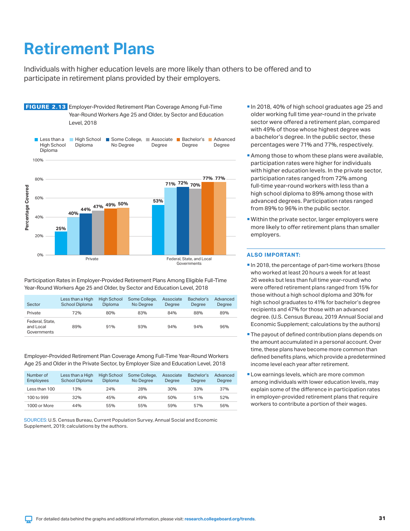### <span id="page-30-0"></span>**Retirement Plans**

Individuals with higher education levels are more likely than others to be offered and to participate in retirement plans provided by their employers.



Participation Rates in Employer-Provided Retirement Plans Among Eligible Full-Time Year-Round Workers Age 25 and Older, by Sector and Education Level, 2018

| Sector                                      | Less than a High<br>School Diploma | <b>High School</b><br><b>Diploma</b> | Some College,<br>No Degree | Associate<br>Dearee | Bachelor's<br>Dearee | Advanced<br>Degree |
|---------------------------------------------|------------------------------------|--------------------------------------|----------------------------|---------------------|----------------------|--------------------|
| Private                                     | 72%                                | 80%                                  | 83%                        | 84%                 | 88%                  | 89%                |
| Federal, State,<br>and Local<br>Governments | 89%                                | 91%                                  | 93%                        | 94%                 | 94%                  | 96%                |

Employer-Provided Retirement Plan Coverage Among Full-Time Year-Round Workers Age 25 and Older in the Private Sector, by Employer Size and Education Level, 2018

| Number of<br><b>Employees</b> | Less than a High<br>School Diploma | <b>High School</b><br><b>Diploma</b> | Some College,<br>No Dearee | Associate<br>Dearee | Bachelor's<br>Dearee | Advanced<br>Degree |
|-------------------------------|------------------------------------|--------------------------------------|----------------------------|---------------------|----------------------|--------------------|
| Less than 100                 | 13%                                | 24%                                  | 28%                        | 30%                 | 33%                  | 37%                |
| 100 to 999                    | 32%                                | 45%                                  | 49%                        | 50%                 | 51%                  | 52%                |
| 1000 or More                  | 44%                                | 55%                                  | 55%                        | 59%                 | 57%                  | 56%                |

SOURCES: U.S. Census Bureau, Current Population Survey, Annual Social and Economic Supplement, 2019; calculations by the authors.

- In 2018, 40% of high school graduates age 25 and older working full time year-round in the private sector were offered a retirement plan, compared with 49% of those whose highest degree was a bachelor's degree. In the public sector, these percentages were 71% and 77%, respectively.
- **Among those to whom these plans were available,** participation rates were higher for individuals with higher education levels. In the private sector, participation rates ranged from 72% among full-time year-round workers with less than a high school diploma to 89% among those with advanced degrees. Participation rates ranged from 89% to 96% in the public sector.
- Within the private sector, larger employers were more likely to offer retirement plans than smaller employers.

- In 2018, the percentage of part-time workers (those who worked at least 20 hours a week for at least 26 weeks but less than full time year-round) who were offered retirement plans ranged from 15% for those without a high school diploma and 30% for high school graduates to 41% for bachelor's degree recipients and 47% for those with an advanced degree. (U.S. Census Bureau, 2019 Annual Social and Economic Supplement; calculations by the authors)
- **The payout of defined contribution plans depends on** the amount accumulated in a personal account. Over time, these plans have become more common than defined benefits plans, which provide a predetermined income level each year after retirement.
- **Low earnings levels, which are more common** among individuals with lower education levels, may explain some of the difference in participation rates in employer-provided retirement plans that require workers to contribute a portion of their wages.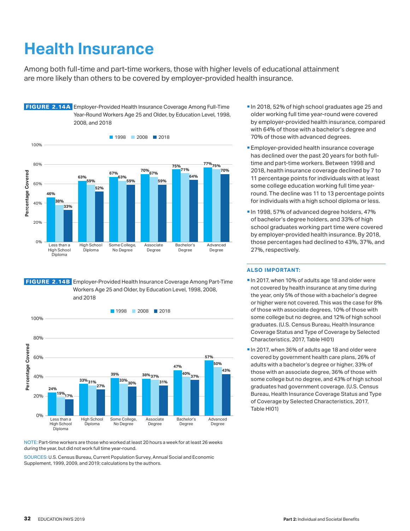# <span id="page-31-0"></span>**Health Insurance**

Among both full-time and part-time workers, those with higher levels of educational attainment are more likely than others to be covered by employer-provided health insurance.



### FIGURE 2.14B Employer-Provided Health Insurance Coverage Among Part-Time Workers Age 25 and Older, by Education Level, 1998, 2008, and 2018



NOTE: Part-time workers are those who worked at least 20 hours a week for at least 26 weeks during the year, but did not work full time year-round.

SOURCES: U.S. Census Bureau, Current Population Survey, Annual Social and Economic Supplement, 1999, 2009, and 2019; calculations by the authors.

- In 2018, 52% of high school graduates age 25 and older working full time year-round were covered by employer-provided health insurance, compared with 64% of those with a bachelor's degree and 70% of those with advanced degrees.
- **Employer-provided health insurance coverage** has declined over the past 20 years for both fulltime and part-time workers. Between 1998 and 2018, health insurance coverage declined by 7 to 11 percentage points for individuals with at least some college education working full time yearround. The decline was 11 to 13 percentage points for individuals with a high school diploma or less.
- In 1998, 57% of advanced degree holders, 47% of bachelor's degree holders, and 33% of high school graduates working part time were covered by employer-provided health insurance. By 2018, those percentages had declined to 43%, 37%, and 27%, respectively.

- In 2017, when 10% of adults age 18 and older were not covered by health insurance at any time during the year, only 5% of those with a bachelor's degree or higher were not covered. This was the case for 8% of those with associate degrees, 10% of those with some college but no degree, and 12% of high school graduates. (U.S. Census Bureau, Health Insurance Coverage Status and Type of Coverage by Selected Characteristics, 2017, Table HI01)
- In 2017, when 36% of adults age 18 and older were covered by government health care plans, 26% of adults with a bachelor's degree or higher, 33% of those with an associate degree, 36% of those with some college but no degree, and 43% of high school graduates had government coverage. (U.S. Census Bureau, Health Insurance Coverage Status and Type of Coverage by Selected Characteristics, 2017, Table HI01)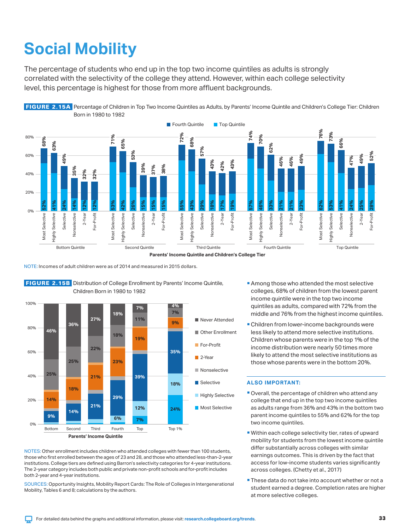# <span id="page-32-0"></span>**Social Mobility**

The percentage of students who end up in the top two income quintiles as adults is strongly correlated with the selectivity of the college they attend. However, within each college selectivity level, this percentage is highest for those from more affluent backgrounds.



NOTE: Incomes of adult children were as of 2014 and measured in 2015 dollars.



 FIGURE 2.15B Distribution of College Enrollment by Parents' Income Quintile, Children Born in 1980 to 1982

NOTES: Other enrollment includes children who attended colleges with fewer than 100 students, those who first enrolled between the ages of 23 and 28, and those who attended less-than-2-year institutions. College tiers are defined using Barron's selectivity categories for 4-year institutions. The 2-year category includes both public and private non-profit schools and for-profit includes both 2-year and 4-year institutions.

SOURCES: Opportunity Insights, Mobility Report Cards: The Role of Colleges in Intergenerational Mobility, Tables 6 and 8; calculations by the authors.

- **Among those who attended the most selective** colleges, 68% of children from the lowest parent income quintile were in the top two income quintiles as adults, compared with 72% from the middle and 76% from the highest income quintiles.
- **Children from lower-income backgrounds were** less likely to attend more selective institutions. Children whose parents were in the top 1% of the income distribution were nearly 50 times more likely to attend the most selective institutions as those whose parents were in the bottom 20%.

- Overall, the percentage of children who attend any college that end up in the top two income quintiles as adults range from 36% and 43% in the bottom two parent income quintiles to 55% and 62% for the top two income quintiles.
- Within each college selectivity tier, rates of upward mobility for students from the lowest income quintile differ substantially across colleges with similar earnings outcomes. This is driven by the fact that access for low-income students varies significantly across colleges. (Chetty et al., 2017)
- **These data do not take into account whether or not a** student earned a degree. Completion rates are higher at more selective colleges.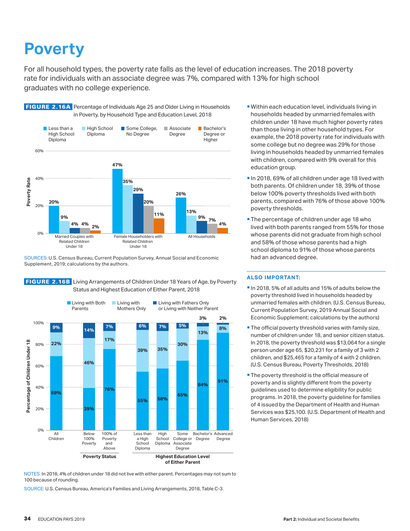### <span id="page-33-0"></span>**Poverty**

For all household types, the poverty rate falls as the level of education increases. The 2018 poverty rate for individuals with an associate degree was 7%, compared with 13% for high school graduates with no college experience.



FIGURE 2.16A Percentage of Individuals Age 25 and Older Living in Households

SOURCES: U.S. Census Bureau, Current Population Survey, Annual Social and Economic Supplement, 2019; calculations by the authors.



FIGURE 2.16B Living Arrangements of Children Under 18 Years of Age, by Poverty Status and Highest Education of Either Parent, 2018

NOTES: In 2018, 4% of children under 18 did not live with either parent. Percentages may not sum to 100 because of rounding.

SOURCE: U.S. Census Bureau, America's Families and Living Arrangements, 2018, Table C-3.

- Within each education level, individuals living in households headed by unmarried females with children under 18 have much higher poverty rates than those living in other household types. For example, the 2018 poverty rate for individuals with some college but no degree was 29% for those living in households headed by unmarried females with children, compared with 9% overall for this education group.
- In 2018, 69% of all children under age 18 lived with both parents. Of children under 18, 39% of those below 100% poverty thresholds lived with both parents, compared with 76% of those above 100% poverty thresholds.
- **The percentage of children under age 18 who** lived with both parents ranged from 55% for those whose parents did not graduate from high school and 58% of those whose parents had a high school diploma to 91% of those whose parents had an advanced degree.

- In 2018, 5% of all adults and 15% of adults below the poverty threshold lived in households headed by unmarried females with children. (U.S. Census Bureau, Current Population Survey, 2019 Annual Social and Economic Supplement; calculations by the authors)
- **The official poverty threshold varies with family size,** number of children under 18, and senior citizen status. In 2018, the poverty threshold was \$13,064 for a single person under age 65, \$20,231 for a family of 3 with 2 children, and \$25,465 for a family of 4 with 2 children. (U.S. Census Bureau, Poverty Thresholds, 2018)
- **The poverty threshold is the official measure of** poverty and is slightly different from the poverty guidelines used to determine eligibility for public programs. In 2018, the poverty guideline for families of 4 issued by the Department of Health and Human Services was \$25,100. (U.S. Department of Health and Human Services, 2018)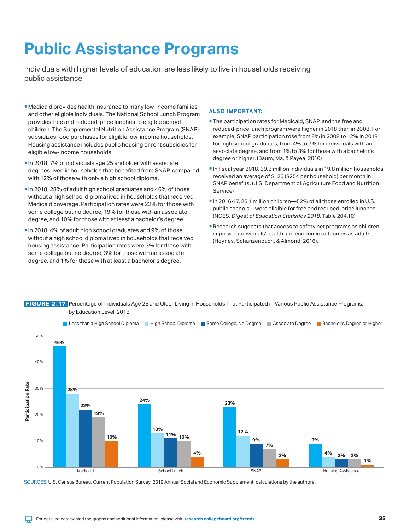### <span id="page-34-0"></span>**Public Assistance Programs**

Individuals with higher levels of education are less likely to live in households receiving public assistance.

- Medicaid provides health insurance to many low-income families and other eligible individuals. The National School Lunch Program provides free and reduced-price lunches to eligible school children. The Supplemental Nutrition Assistance Program (SNAP) subsidizes food purchases for eligible low-income households. Housing assistance includes public housing or rent subsidies for eligible low-income households.
- In 2018, 7% of individuals age 25 and older with associate degrees lived in households that benefited from SNAP, compared with 12% of those with only a high school diploma.
- In 2018, 28% of adult high school graduates and 46% of those without a high school diploma lived in households that received Medicaid coverage. Participation rates were 22% for those with some college but no degree, 19% for those with an associate degree, and 10% for those with at least a bachelor's degree.
- In 2018, 4% of adult high school graduates and 9% of those without a high school diploma lived in households that received housing assistance. Participation rates were 3% for those with some college but no degree, 3% for those with an associate degree, and 1% for those with at least a bachelor's degree.

### **ALSO IMPORTANT:**

- The participation rates for Medicaid, SNAP, and the free and reduced-price lunch program were higher in 2018 than in 2008. For example, SNAP participation rose from 8% in 2008 to 12% in 2018 for high school graduates, from 4% to 7% for individuals with an associate degree, and from 1% to 3% for those with a bachelor's degree or higher. (Baum, Ma, & Payea, 2010)
- In fiscal year 2018, 39.8 million individuals in 19.8 million households received an average of \$126 (\$254 per household) per month in SNAP benefits. (U.S. Department of Agriculture Food and Nutrition Service)
- In 2016-17, 26.1 million children—52% of all those enrolled in U.S. public schools—were eligible for free and reduced-price lunches. (NCES, *Digest of Education Statistics 2018*, Table 204.10)
- **Research suggests that access to safety net programs as children** improved individuals' health and economic outcomes as adults (Hoynes, Schanzenbach, & Almond, 2016).



FIGURE 2.17 Percentage of Individuals Age 25 and Older Living in Households That Participated in Various Public Assistance Programs, by Education Level, 2018

SOURCES: U.S. Census Bureau, Current Population Survey, 2019 Annual Social and Economic Supplement; calculations by the authors.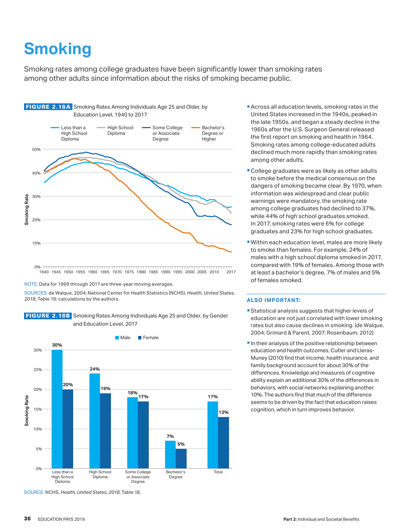# <span id="page-35-0"></span>**Smoking**

Smoking rates among college graduates have been significantly lower than smoking rates among other adults since information about the risks of smoking became public.



0% 1940 1945 1950 1955 1960 1965 1970 1975 1980 1985 1990 1995 2000 2005 2010 2017

#### NOTE: Data for 1999 through 2017 are three-year moving averages.

SOURCES: de Walque, 2004; National Center for Health Statistics (NCHS), *Health, United States, 2018*, Table 18; calculations by the authors.

FIGURE 2.18B Smoking Rates Among Individuals Age 25 and Older, by Gender and Education Level, 2017



- **Across all education levels, smoking rates in the** United States increased in the 1940s, peaked in the late 1950s, and began a steady decline in the 1960s after the U.S. Surgeon General released the first report on smoking and health in 1964. Smoking rates among college-educated adults declined much more rapidly than smoking rates among other adults.
- College graduates were as likely as other adults to smoke before the medical consensus on the dangers of smoking became clear. By 1970, when information was widespread and clear public warnings were mandatory, the smoking rate among college graduates had declined to 37%, while 44% of high school graduates smoked. In 2017, smoking rates were 6% for college graduates and 23% for high school graduates.
- Within each education level, males are more likely to smoke than females. For example, 24% of males with a high school diploma smoked in 2017, compared with 19% of females. Among those with at least a bachelor's degree, 7% of males and 5% of females smoked.

#### **ALSO IMPORTANT:**

- Statistical analysis suggests that higher levels of education are not just correlated with lower smoking rates but also cause declines in smoking. (de Walque, 2004; Grimard & Parent, 2007; Rosenbaum, 2012)
- In their analysis of the positive relationship between education and health outcomes, Cutler and Lleras-Muney (2010) find that income, health insurance, and family background account for about 30% of the differences. Knowledge and measures of cognitive ability explain an additional 30% of the differences in behaviors, with social networks explaining another 10%. The authors find that much of the difference seems to be driven by the fact that education raises cognition, which in turn improves behavior.

SOURCE: NCHS, *Health, United States, 2018*, Table 18.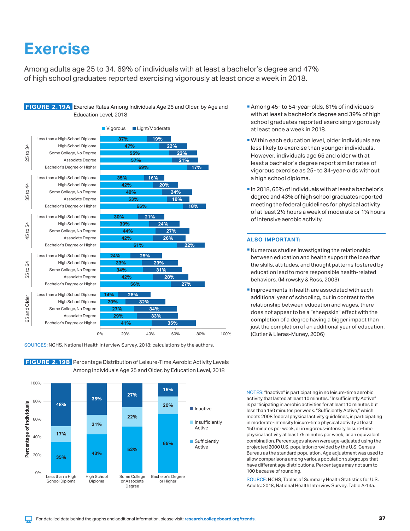### <span id="page-36-0"></span>**Exercise**

Among adults age 25 to 34, 69% of individuals with at least a bachelor's degree and 47% of high school graduates reported exercising vigorously at least once a week in 2018.

### FIGURE 2.19A Exercise Rates Among Individuals Age 25 and Older, by Age and Education Level, 2018



SOURCES: NCHS, National Health Interview Survey, 2018; calculations by the authors.

100% **15% 27% 35%** 80% Percentage of Individuals **Percentage of Individuals 48% 20%** Inactive **22%** 60% **Insufficiently 21%** Active **17%** 40% **Sufficiently 65%** Active **52% 43%** 20% **35%** 0% Less than a High High School Some College Bachelor's Degree School Diploma Diploma or Associate or Higher Degree

- Among 45- to 54-year-olds, 61% of individuals with at least a bachelor's degree and 39% of high school graduates reported exercising vigorously at least once a week in 2018.
- Within each education level, older individuals are less likely to exercise than younger individuals. However, individuals age 65 and older with at least a bachelor's degree report similar rates of vigorous exercise as 25- to 34-year-olds without a high school diploma.
- In 2018, 65% of individuals with at least a bachelor's degree and 43% of high school graduates reported meeting the federal guidelines for physical activity of at least 2½ hours a week of moderate or 1¼ hours of intensive aerobic activity.

#### **ALSO IMPORTANT:**

- Numerous studies investigating the relationship between education and health support the idea that the skills, attitudes, and thought patterns fostered by education lead to more responsible health-related behaviors. (Mirowsky & Ross, 2003)
- **Improvements in health are associated with each** additional year of schooling, but in contrast to the relationship between education and wages, there does not appear to be a "sheepskin" effect with the completion of a degree having a bigger impact than just the completion of an additional year of education. (Cutler & Lleras-Muney, 2006)

NOTES: "Inactive" is participating in no leisure-time aerobic activity that lasted at least 10 minutes. "Insufficiently Active" is participating in aerobic activities for at least 10 minutes but less than 150 minutes per week. "Sufficiently Active," which meets 2008 federal physical activity guidelines, is participating in moderate-intensity leisure-time physical activity at least 150 minutes per week, or in vigorous-intensity leisure-time physical activity at least 75 minutes per week, or an equivalent combination. Percentages shown were age-adjusted using the projected 2000 U.S. population provided by the U.S. Census Bureau as the standard population. Age adjustment was used to allow comparisons among various population subgroups that have different age distributions. Percentages may not sum to 100 because of rounding.

SOURCE: NCHS, Tables of Summary Health Statistics for U.S. Adults: 2018, National Health Interview Survey, Table A-14a.

FIGURE 2.19B Percentage Distribution of Leisure-Time Aerobic Activity Levels Among Individuals Age 25 and Older, by Education Level, 2018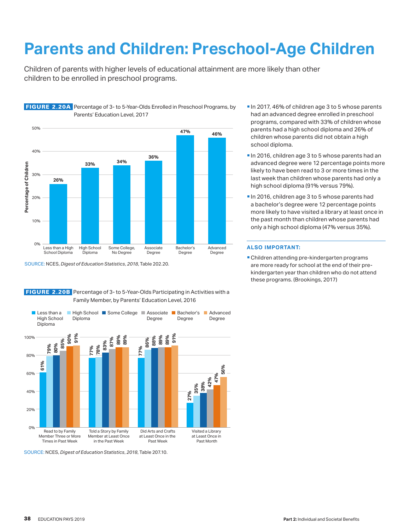# <span id="page-37-0"></span>**Parents and Children: Preschool-Age Children**

Children of parents with higher levels of educational attainment are more likely than other children to be enrolled in preschool programs.



FIGURE 2.20A Percentage of 3- to 5-Year-Olds Enrolled in Preschool Programs, by

SOURCE: NCES, *Digest of Education Statistics*, *2018*, Table 202.20.



FIGURE 2.20B Percentage of 3- to 5-Year-Olds Participating in Activities with a Family Member, by Parents' Education Level, 2016

- In 2016, children age 3 to 5 whose parents had an advanced degree were 12 percentage points more likely to have been read to 3 or more times in the last week than children whose parents had only a high school diploma (91% versus 79%).
- In 2016, children age 3 to 5 whose parents had a bachelor's degree were 12 percentage points more likely to have visited a library at least once in the past month than children whose parents had only a high school diploma (47% versus 35%).

#### **ALSO IMPORTANT:**

 Children attending pre-kindergarten programs are more ready for school at the end of their prekindergarten year than children who do not attend these programs. (Brookings, 2017)

SOURCE: NCES, *Digest of Education Statistics*, *2018*, Table 207.10.

In 2017, 46% of children age 3 to 5 whose parents had an advanced degree enrolled in preschool programs, compared with 33% of children whose parents had a high school diploma and 26% of children whose parents did not obtain a high school diploma.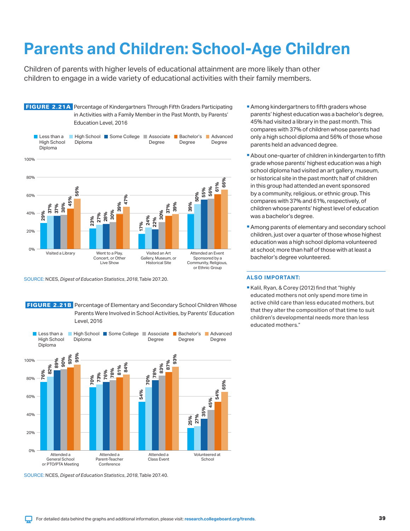### <span id="page-38-0"></span>**Parents and Children: School-Age Children**

Children of parents with higher levels of educational attainment are more likely than other children to engage in a wide variety of educational activities with their family members.



SOURCE: NCES, *Digest of Education Statistics*, *2018*, Table 207.20.

**FIGURE 2.21B** Percentage of Elementary and Secondary School Children Whose Parents Were Involved in School Activities, by Parents' Education Level, 2016



SOURCE: NCES, *Digest of Education Statistics*, *2018*, Table 207.40.

- **Among kindergartners to fifth graders whose** parents' highest education was a bachelor's degree, 45% had visited a library in the past month. This compares with 37% of children whose parents had only a high school diploma and 56% of those whose parents held an advanced degree.
- About one-quarter of children in kindergarten to fifth grade whose parents' highest education was a high school diploma had visited an art gallery, museum, or historical site in the past month; half of children in this group had attended an event sponsored by a community, religious, or ethnic group. This compares with 37% and 61%, respectively, of children whose parents' highest level of education was a bachelor's degree.
- **Among parents of elementary and secondary school** children, just over a quarter of those whose highest education was a high school diploma volunteered at school; more than half of those with at least a bachelor's degree volunteered.

#### **ALSO IMPORTANT:**

Kalil, Ryan, & Corey (2012) find that "highly educated mothers not only spend more time in active child care than less educated mothers, but that they alter the composition of that time to suit children's developmental needs more than less educated mothers."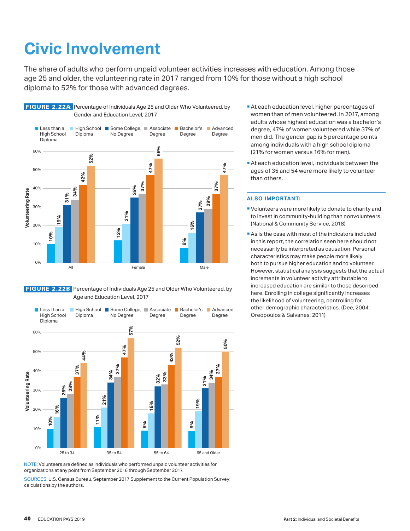### <span id="page-39-0"></span>**Civic Involvement**

The share of adults who perform unpaid volunteer activities increases with education. Among those age 25 and older, the volunteering rate in 2017 ranged from 10% for those without a high school diploma to 52% for those with advanced degrees.







NOTE: Volunteers are defined as individuals who performed unpaid volunteer activities for organizations at any point from September 2016 through September 2017.

SOURCES: U.S. Census Bureau, September 2017 Supplement to the Current Population Survey; calculations by the authors.

- At each education level, higher percentages of women than of men volunteered. In 2017, among adults whose highest education was a bachelor's degree, 47% of women volunteered while 37% of men did. The gender gap is 5 percentage points among individuals with a high school diploma (21% for women versus 16% for men).
- At each education level, individuals between the ages of 35 and 54 were more likely to volunteer than others.

- Volunteers were more likely to donate to charity and to invest in community-building than nonvolunteers. (National & Community Service, 2018)
- As is the case with most of the indicators included in this report, the correlation seen here should not necessarily be interpreted as causation. Personal characteristics may make people more likely both to pursue higher education and to volunteer. However, statistical analysis suggests that the actual increments in volunteer activity attributable to increased education are similar to those described here. Enrolling in college significantly increases the likelihood of volunteering, controlling for other demographic characteristics. (Dee, 2004; Oreopoulos & Salvanes, 2011)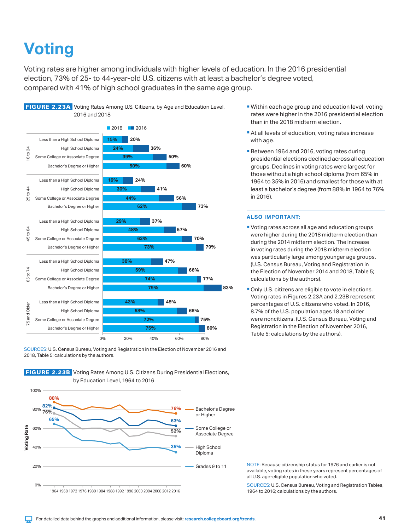### <span id="page-40-0"></span>**Voting**

Voting rates are higher among individuals with higher levels of education. In the 2016 presidential election, 73% of 25- to 44-year-old U.S. citizens with at least a bachelor's degree voted, compared with 41% of high school graduates in the same age group.



**FIGURE 2.23A** Voting Rates Among U.S. Citizens, by Age and Education Level, 2016 and 2018

FIGURE 2.23B Voting Rates Among U.S. Citizens During Presidential Elections,



- 
- Within each age group and education level, voting rates were higher in the 2016 presidential election than in the 2018 midterm election.
	- At all levels of education, voting rates increase with age.
	- **Between 1964 and 2016, voting rates during** presidential elections declined across all education groups. Declines in voting rates were largest for those without a high school diploma (from 65% in 1964 to 35% in 2016) and smallest for those with at least a bachelor's degree (from 88% in 1964 to 76% in 2016).

### **ALSO IMPORTANT:**

- Voting rates across all age and education groups were higher during the 2018 midterm election than during the 2014 midterm election. The increase in voting rates during the 2018 midterm election was particularly large among younger age groups. (U.S. Census Bureau, Voting and Registration in the Election of November 2014 and 2018, Table 5; calculations by the authors).
- **Only U.S. citizens are eligible to vote in elections.** Voting rates in Figures 2.23A and 2.23B represent percentages of U.S. citizens who voted. In 2016, 8.7% of the U.S. population ages 18 and older were noncitizens. (U.S. Census Bureau, Voting and Registration in the Election of November 2016, Table 5; calculations by the authors).

NOTE: Because citizenship status for 1976 and earlier is not available, voting rates in these years represent percentages of all U.S. age-eligible population who voted.

SOURCES: U.S. Census Bureau, Voting and Registration Tables, 1964 to 2016; calculations by the authors.

SOURCES: U.S. Census Bureau, Voting and Registration in the Election of November 2016 and 2018, Table 5; calculations by the authors.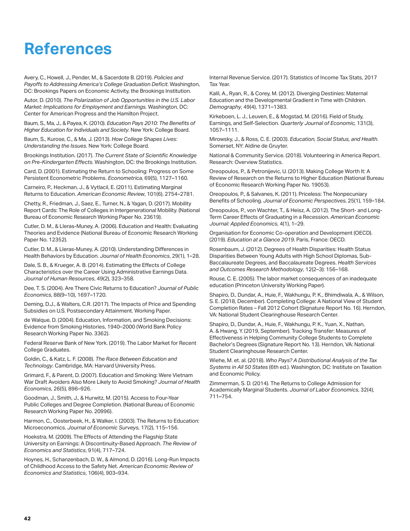### <span id="page-41-0"></span>**References**

Avery, C., Howell, J., Pender, M., & Sacerdote B. (2019). *Policies and Payoffs to Addressing America's College Graduation Deficit*. Washington, DC: Brookings Papers on Economic Activity, the Brookings Institution.

Autor, D. (2010). *The Polarization of Job Opportunities in the U.S. Labor Market: Implications for Employment and Earnings.* Washington, DC: Center for American Progress and the Hamilton Project.

Baum, S., Ma, J., & Payea, K. (2010). *Education Pays 2010: The Benefits of Higher Education for Individuals and Society*. New York: College Board.

Baum, S., Kurose, C., & Ma, J. (2013). *How College Shapes Lives: Understanding the Issues*. New York: College Board.

Brookings Institution. (2017). *The Current State of Scientific Knowledge on Pre-Kindergarten Effects*. Washington, DC: the Brookings Institution.

Card, D. (2001). Estimating the Return to Schooling: Progress on Some Persistent Econometric Problems. *Econometrica*, 69(5), 1127–1160.

Carneiro, P., Heckman, J., & Vytlacil, E. (2011). Estimating Marginal Returns to Education. *American Economic Review*, 101(6), 2754–2781.

Chetty, R., Friedman, J., Saez, E., Turner, N., & Yagan, D. (2017). Mobility Report Cards: The Role of Colleges in Intergenerational Mobility. (National Bureau of Economic Research Working Paper No. 23619).

Cutler, D. M., & Lleras-Muney, A. (2006). Education and Health: Evaluating Theories and Evidence (National Bureau of Economic Research Working Paper No. 12352).

Cutler, D. M., & Lleras-Muney, A. (2010). Understanding Differences in Health Behaviors by Education. *Journal of Health Economics*, 29(1), 1–28.

Dale, S. B., & Krueger, A. B. (2014). Estimating the Effects of College Characteristics over the Career Using Administrative Earnings Data. *Journal of Human Resources*, 49(2), 323–358.

Dee, T. S. (2004). Are There Civic Returns to Education? *Journal of Public Economics*, 88(9–10), 1697–1720.

Deming, D.J., & Walters, C.R. (2017). The Impacts of Price and Spending Subsidies on U.S. Postsecondary Attainment. Working Paper.

de Walque, D. (2004). Education, Information, and Smoking Decisions: Evidence from Smoking Histories, 1940–2000 (World Bank Policy Research Working Paper No. 3362).

Federal Reserve Bank of New York. (2019). The Labor Market for Recent College Graduates.

Goldin, C., & Katz, L. F. (2008). *The Race Between Education and Technology*. Cambridge, MA: Harvard University Press.

Grimard, F., & Parent, D. (2007). Education and Smoking: Were Vietnam War Draft Avoiders Also More Likely to Avoid Smoking? *Journal of Health Economics*, 26(5), 896–926.

Goodman, J., Smith, J., & Hurwitz, M. (2015). Access to Four-Year Public Colleges and Degree Completion. (National Bureau of Economic Research Working Paper No. 20996).

Harmon, C., Oosterbeek, H., & Walker, I. (2003). The Returns to Education: Microeconomics. *Journal of Economic Surveys*, 17(2), 115–156.

Hoekstra, M. (2009). The Effects of Attending the Flagship State University on Earnings: A Discontinuity-Based Approach. *The Review of Economics and Statistics*, 91(4), 717–724.

Hoynes, H., Schanzenbach, D. W., & Almond, D. (2016). Long-Run Impacts of Childhood Access to the Safety Net. *American Economic Review of Economics and Statistics*, 106(4), 903–934.

Internal Revenue Service. (2017). Statistics of Income Tax Stats, 2017 Tax Year.

Kalil, A., Ryan, R., & Corey, M. (2012). Diverging Destinies: Maternal Education and the Developmental Gradient in Time with Children. *Demography*, 49(4), 1371–1383.

Kirkeboen, L. J., Leuven, E., & Mogstad, M. (2016). Field of Study, Earnings, and Self-Selection. *Quarterly Journal of Economic,* 131(3), 1057–1111.

Mirowsky, J., & Ross, C. E. (2003). *Education, Social Status, and Health*. Somerset, NY: Aldine de Gruyter.

National & Community Service. (2018). Volunteering in America Report. Research: Overview Statistics.

Oreopoulos, P., & Petronijevic, U. (2013). Making College Worth It: A Review of Research on the Returns to Higher Education (National Bureau of Economic Research Working Paper No. 19053).

Oreopoulos, P., & Salvanes, K. (2011). Priceless: The Nonpecuniary Benefits of Schooling. *Journal of Economic Perspectives*, 25(1), 159–184.

Oreopoulos, P., von Wachter, T., & Heisz, A. (2012). The Short- and Long-Term Career Effects of Graduating in a Recession. *American Economic Journal: Applied Economics,* 4(1), 1–29.

Organisation for Economic Co-operation and Development (OECD). (2019). *Education at a Glance 2019*. Paris, France: OECD.

Rosenbaum, J. (2012). Degrees of Health Disparities: Health Status Disparities Between Young Adults with High School Diplomas, Sub-Baccalaureate Degrees, and Baccalaureate Degrees. *Health Services and Outcomes Research Methodology*, 12(2–3): 156–168.

Rouse, C. E. (2005). The labor market consequences of an inadequate education (Princeton University Working Paper).

Shapiro, D., Dundar, A., Huie, F., Wakhungu, P. K., Bhimdiwala, A., & Wilson, S. E. (2018, December). Completing College: A National View of Student Completion Rates – Fall 2012 Cohort (Signature Report No. 16). Herndon, VA: National Student Clearinghouse Research Center.

Shapiro, D., Dundar, A., Huie, F., Wakhungu, P. K., Yuan, X., Nathan, A. & Hwang, Y. (2019, September). Tracking Transfer: Measures of Effectiveness in Helping Community College Students to Complete Bachelor's Degrees (Signature Report No. 13). Herndon, VA: National Student Clearinghouse Research Center.

Wiehe, M. et. al. (2018). *Who Pays? A Distributional Analysis of the Tax Systems in All 50 States* (6th ed.). Washington, DC: Institute on Taxation and Economic Policy.

Zimmerman, S. D. (2014). The Returns to College Admission for Academically Marginal Students. *Journal of Labor Economics*, 32(4), 711–754.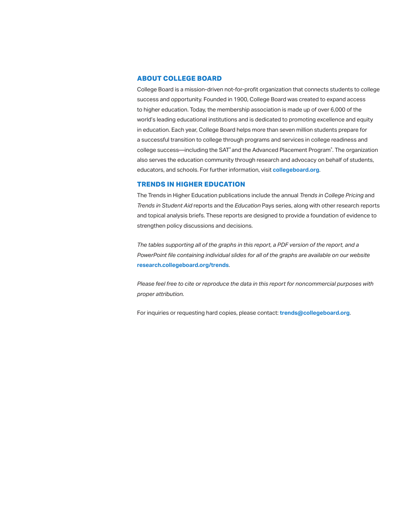### **ABOUT COLLEGE BOARD**

College Board is a mission-driven not-for-profit organization that connects students to college success and opportunity. Founded in 1900, College Board was created to expand access to higher education. Today, the membership association is made up of over 6,000 of the world's leading educational institutions and is dedicated to promoting excellence and equity in education. Each year, College Board helps more than seven million students prepare for a successful transition to college through programs and services in college readiness and college success—including the SAT® and the Advanced Placement Program® . The organization also serves the education community through research and advocacy on behalf of students, educators, and schools. For further information, visit **[collegeboard.org](http://collegeboard.org)**.

### **TRENDS IN HIGHER EDUCATION**

The Trends in Higher Education publications include the annual *Trends in College Pricing* and *Trends in Student Aid* reports and the *Education* Pays series, along with other research reports and topical analysis briefs. These reports are designed to provide a foundation of evidence to strengthen policy discussions and decisions.

*The tables supporting all of the graphs in this report, a PDF version of the report, and a*  PowerPoint file containing individual slides for all of the graphs are available on our website **[research.collegeboard.org/trends](http://research.collegeboard.org/trends)**.

*Please feel free to cite or reproduce the data in this report for noncommercial purposes with proper attribution.* 

For inquiries or requesting hard copies, please contact: **[trends@collegeboard.org](mailto:trends@collegeboard.org)**.